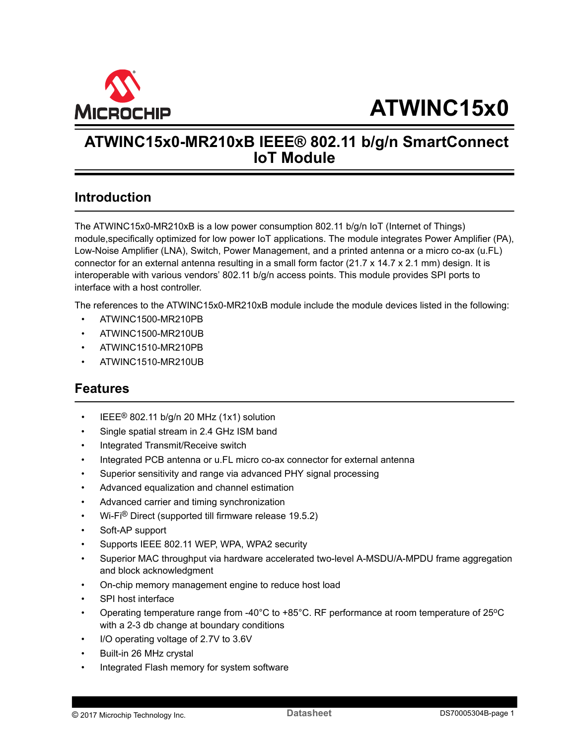<span id="page-0-0"></span>

## **ATWINC15x0-MR210xB IEEE® 802.11 b/g/n SmartConnect IoT Module**

## **Introduction**

The ATWINC15x0-MR210xB is a low power consumption 802.11 b/g/n IoT (Internet of Things) module,specifically optimized for low power IoT applications. The module integrates Power Amplifier (PA), Low-Noise Amplifier (LNA), Switch, Power Management, and a printed antenna or a micro co-ax (u.FL) connector for an external antenna resulting in a small form factor (21.7 x 14.7 x 2.1 mm) design. It is interoperable with various vendors' 802.11 b/g/n access points. This module provides SPI ports to interface with a host controller.

The references to the ATWINC15x0-MR210xB module include the module devices listed in the following:

- ATWINC1500-MR210PB
- ATWINC1500-MR210UB
- ATWINC1510-MR210PB
- ATWINC1510-MR210UB

## **Features**

- IEEE<sup>®</sup> 802.11 b/g/n 20 MHz (1x1) solution
- Single spatial stream in 2.4 GHz ISM band
- Integrated Transmit/Receive switch
- Integrated PCB antenna or u.FL micro co-ax connector for external antenna
- Superior sensitivity and range via advanced PHY signal processing
- Advanced equalization and channel estimation
- Advanced carrier and timing synchronization
- Wi-Fi® Direct (supported till firmware release 19.5.2)
- Soft-AP support
- Supports IEEE 802.11 WEP, WPA, WPA2 security
- Superior MAC throughput via hardware accelerated two-level A-MSDU/A-MPDU frame aggregation and block acknowledgment
- On-chip memory management engine to reduce host load
- SPI host interface
- Operating temperature range from -40°C to +85°C. RF performance at room temperature of 25°C with a 2-3 db change at boundary conditions
- I/O operating voltage of 2.7V to 3.6V
- Built-in 26 MHz crystal
- Integrated Flash memory for system software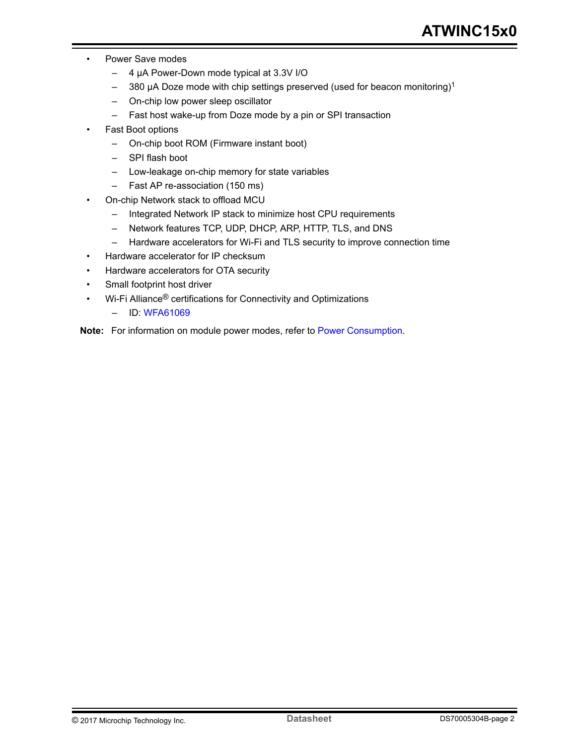- Power Save modes
	- 4 µA Power-Down mode typical at 3.3V I/O
	- $-$  380 µA Doze mode with chip settings preserved (used for beacon monitoring)<sup>1</sup>
	- On-chip low power sleep oscillator
	- Fast host wake-up from Doze mode by a pin or SPI transaction
- Fast Boot options
	- On-chip boot ROM (Firmware instant boot)
	- SPI flash boot
	- Low-leakage on-chip memory for state variables
	- Fast AP re-association (150 ms)
- On-chip Network stack to offload MCU
	- Integrated Network IP stack to minimize host CPU requirements
	- Network features TCP, UDP, DHCP, ARP, HTTP, TLS, and DNS
	- Hardware accelerators for Wi-Fi and TLS security to improve connection time
- Hardware accelerator for IP checksum
- Hardware accelerators for OTA security
- Small footprint host driver
- Wi-Fi Alliance<sup>®</sup> certifications for Connectivity and Optimizations
	- ID: [WFA61069](http://www.wi-fi.org/content/search-page?keys=WFA61069)

**Note:**  For information on module power modes, refer to [Power Consumption.](#page-21-0)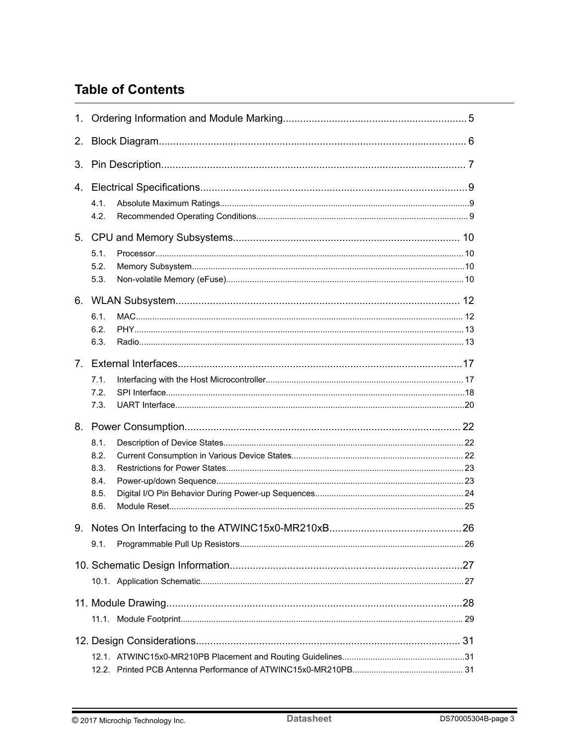## **Table of Contents**

| 2. |                                                         |    |  |  |  |  |
|----|---------------------------------------------------------|----|--|--|--|--|
| 3. |                                                         |    |  |  |  |  |
|    | 4.1.<br>4.2.                                            |    |  |  |  |  |
| 5. | 5.1.<br>5.2.<br>5.3.                                    |    |  |  |  |  |
|    | 6.1.<br>6.2.<br>6.3.                                    |    |  |  |  |  |
|    | 7.1.<br>7.2.<br>7.3.                                    |    |  |  |  |  |
|    | 8.1.<br>8.2.<br>8.3.<br>8.4.<br>8.5.<br>8.6.            |    |  |  |  |  |
| 9. | Notes On Interfacing to the ATWINC15x0-MR210xB.<br>9.1. | 26 |  |  |  |  |
|    |                                                         |    |  |  |  |  |
|    |                                                         |    |  |  |  |  |
|    |                                                         |    |  |  |  |  |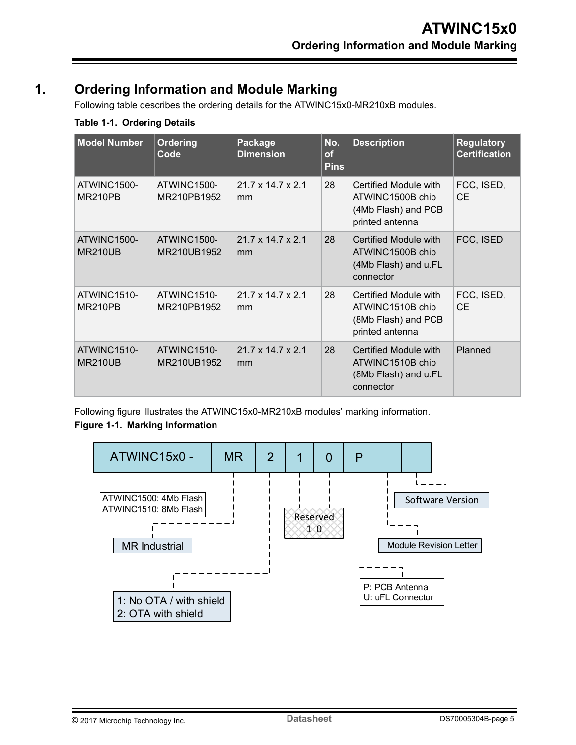## <span id="page-4-0"></span>**1. Ordering Information and Module Marking**

Following table describes the ordering details for the ATWINC15x0-MR210xB modules.

### **Table 1-1. Ordering Details**

| <b>Model Number</b>           | <b>Ordering</b><br>Code    | Package<br><b>Dimension</b>         | No.<br>of<br><b>Pins</b> | <b>Description</b>                                                                  | <b>Regulatory</b><br><b>Certification</b> |
|-------------------------------|----------------------------|-------------------------------------|--------------------------|-------------------------------------------------------------------------------------|-------------------------------------------|
| ATWINC1500-<br>MR210PB        | ATWINC1500-<br>MR210PB1952 | $21.7 \times 14.7 \times 2.1$<br>mm | 28                       | Certified Module with<br>ATWINC1500B chip<br>(4Mb Flash) and PCB<br>printed antenna | FCC, ISED,<br><b>CE</b>                   |
| ATWINC1500-<br><b>MR210UB</b> | ATWINC1500-<br>MR210UB1952 | $21.7 \times 14.7 \times 2.1$<br>mm | 28                       | Certified Module with<br>ATWINC1500B chip<br>(4Mb Flash) and u.FL<br>connector      | FCC, ISED                                 |
| ATWINC1510-<br>MR210PB        | ATWINC1510-<br>MR210PB1952 | $21.7 \times 14.7 \times 2.1$<br>mm | 28                       | Certified Module with<br>ATWINC1510B chip<br>(8Mb Flash) and PCB<br>printed antenna | FCC, ISED,<br><b>CE</b>                   |
| ATWINC1510-<br><b>MR210UB</b> | ATWINC1510-<br>MR210UB1952 | $21.7 \times 14.7 \times 2.1$<br>mm | 28                       | Certified Module with<br>ATWINC1510B chip<br>(8Mb Flash) and u.FL<br>connector      | Planned                                   |

Following figure illustrates the ATWINC15x0-MR210xB modules' marking information.

## **Figure 1-1. Marking Information**

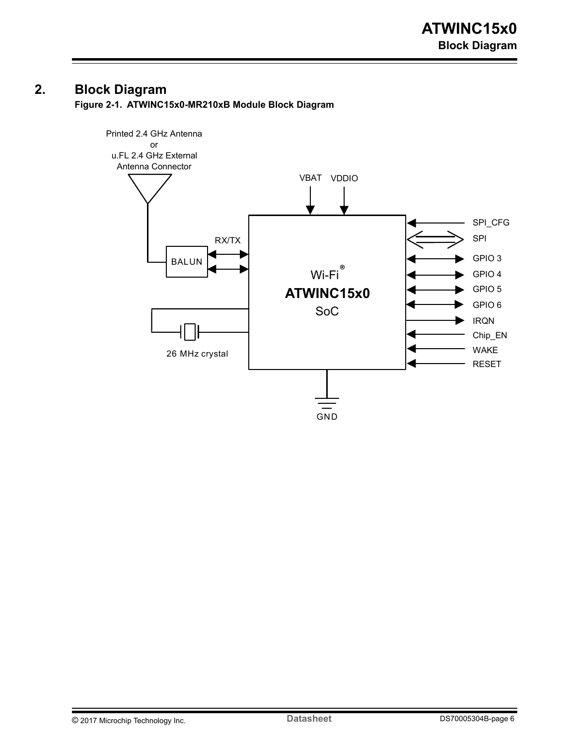## <span id="page-5-0"></span>**2. Block Diagram**

**Figure 2-1. ATWINC15x0-MR210xB Module Block Diagram**

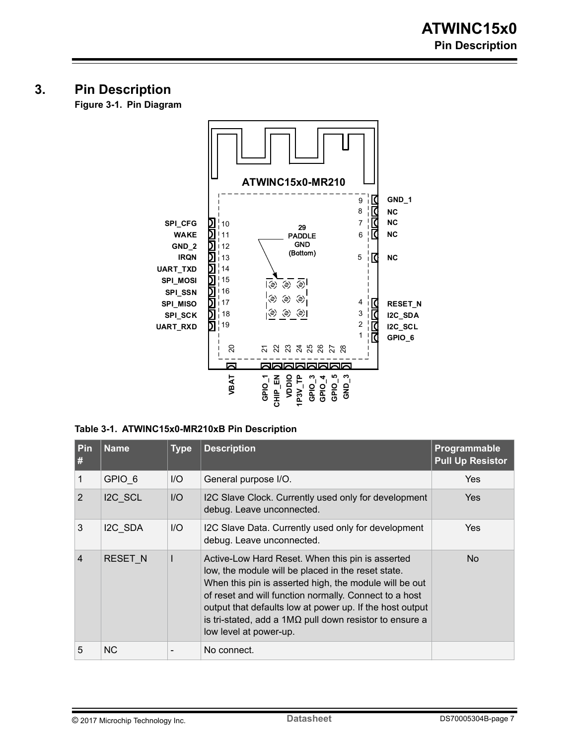## <span id="page-6-0"></span>**3. Pin Description**

**Figure 3-1. Pin Diagram**



#### **Table 3-1. ATWINC15x0-MR210xB Pin Description**

| Pin<br>#       | <b>Name</b>    | <b>Type</b> | <b>Description</b>                                                                                                                                                                                                                                                                                                                                                                 | Programmable<br><b>Pull Up Resistor</b> |
|----------------|----------------|-------------|------------------------------------------------------------------------------------------------------------------------------------------------------------------------------------------------------------------------------------------------------------------------------------------------------------------------------------------------------------------------------------|-----------------------------------------|
|                | GPIO 6         | I/O         | General purpose I/O.                                                                                                                                                                                                                                                                                                                                                               | Yes                                     |
| 2              | I2C SCL        | I/O         | I2C Slave Clock. Currently used only for development<br>debug. Leave unconnected.                                                                                                                                                                                                                                                                                                  | Yes                                     |
| 3              | I2C SDA        | I/O         | I2C Slave Data. Currently used only for development<br>debug. Leave unconnected.                                                                                                                                                                                                                                                                                                   | Yes                                     |
| $\overline{4}$ | <b>RESET N</b> |             | Active-Low Hard Reset. When this pin is asserted<br>low, the module will be placed in the reset state.<br>When this pin is asserted high, the module will be out<br>of reset and will function normally. Connect to a host<br>output that defaults low at power up. If the host output<br>is tri-stated, add a $1M\Omega$ pull down resistor to ensure a<br>low level at power-up. | No.                                     |
| 5              | <b>NC</b>      |             | No connect.                                                                                                                                                                                                                                                                                                                                                                        |                                         |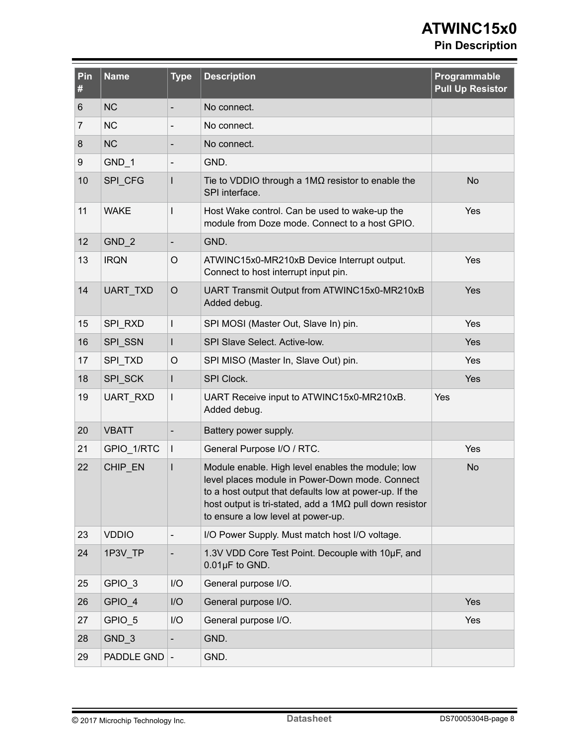# **ATWINC15x0**

## **Pin Description**

| Pin<br>#       | <b>Name</b>  | <b>Type</b>                  | <b>Description</b>                                                                                                                                                                                                                                                            | Programmable<br><b>Pull Up Resistor</b> |
|----------------|--------------|------------------------------|-------------------------------------------------------------------------------------------------------------------------------------------------------------------------------------------------------------------------------------------------------------------------------|-----------------------------------------|
| 6              | <b>NC</b>    | $\overline{\phantom{a}}$     | No connect.                                                                                                                                                                                                                                                                   |                                         |
| $\overline{7}$ | <b>NC</b>    | $\overline{\phantom{a}}$     | No connect.                                                                                                                                                                                                                                                                   |                                         |
| 8              | <b>NC</b>    | $\qquad \qquad$              | No connect.                                                                                                                                                                                                                                                                   |                                         |
| 9              | $GND_1$      | $\overline{\phantom{a}}$     | GND.                                                                                                                                                                                                                                                                          |                                         |
| 10             | SPI_CFG      |                              | Tie to VDDIO through a $1M\Omega$ resistor to enable the<br>SPI interface.                                                                                                                                                                                                    | <b>No</b>                               |
| 11             | <b>WAKE</b>  | $\overline{1}$               | Host Wake control. Can be used to wake-up the<br>module from Doze mode. Connect to a host GPIO.                                                                                                                                                                               | Yes                                     |
| 12             | $GND_2$      | $\overline{\phantom{a}}$     | GND.                                                                                                                                                                                                                                                                          |                                         |
| 13             | <b>IRQN</b>  | O                            | ATWINC15x0-MR210xB Device Interrupt output.<br>Connect to host interrupt input pin.                                                                                                                                                                                           | Yes                                     |
| 14             | UART_TXD     | $\circ$                      | UART Transmit Output from ATWINC15x0-MR210xB<br>Added debug.                                                                                                                                                                                                                  | <b>Yes</b>                              |
| 15             | SPI_RXD      | $\mathbf{I}$                 | SPI MOSI (Master Out, Slave In) pin.                                                                                                                                                                                                                                          | Yes                                     |
| 16             | SPI_SSN      | L                            | SPI Slave Select. Active-low.                                                                                                                                                                                                                                                 | Yes                                     |
| 17             | SPI_TXD      | $\circ$                      | SPI MISO (Master In, Slave Out) pin.                                                                                                                                                                                                                                          | Yes                                     |
| 18             | SPI_SCK      | L                            | SPI Clock.                                                                                                                                                                                                                                                                    | Yes                                     |
| 19             | UART_RXD     | $\mathbf{I}$                 | UART Receive input to ATWINC15x0-MR210xB.<br>Added debug.                                                                                                                                                                                                                     | Yes                                     |
| 20             | <b>VBATT</b> | $\overline{\phantom{0}}$     | Battery power supply.                                                                                                                                                                                                                                                         |                                         |
| 21             | GPIO_1/RTC   | $\mathbf{I}$                 | General Purpose I/O / RTC.                                                                                                                                                                                                                                                    | Yes                                     |
| 22             | CHIP EN      |                              | Module enable. High level enables the module; low<br>level places module in Power-Down mode. Connect<br>to a host output that defaults low at power-up. If the<br>host output is tri-stated, add a $1\text{M}\Omega$ pull down resistor<br>to ensure a low level at power-up. | <b>No</b>                               |
| 23             | <b>VDDIO</b> | $\qquad \qquad \blacksquare$ | I/O Power Supply. Must match host I/O voltage.                                                                                                                                                                                                                                |                                         |
| 24             | 1P3V TP      | $\overline{\phantom{0}}$     | 1.3V VDD Core Test Point. Decouple with 10µF, and<br>$0.01\,\text{µF}$ to GND.                                                                                                                                                                                                |                                         |
| 25             | GPIO_3       | I/O                          | General purpose I/O.                                                                                                                                                                                                                                                          |                                         |
| 26             | GPIO_4       | I/O                          | General purpose I/O.                                                                                                                                                                                                                                                          | Yes                                     |
| 27             | GPIO 5       | I/O                          | General purpose I/O.                                                                                                                                                                                                                                                          | Yes                                     |
| 28             | $GND_3$      | $\overline{\phantom{0}}$     | GND.                                                                                                                                                                                                                                                                          |                                         |
| 29             | PADDLE GND   | $\overline{\phantom{a}}$     | GND.                                                                                                                                                                                                                                                                          |                                         |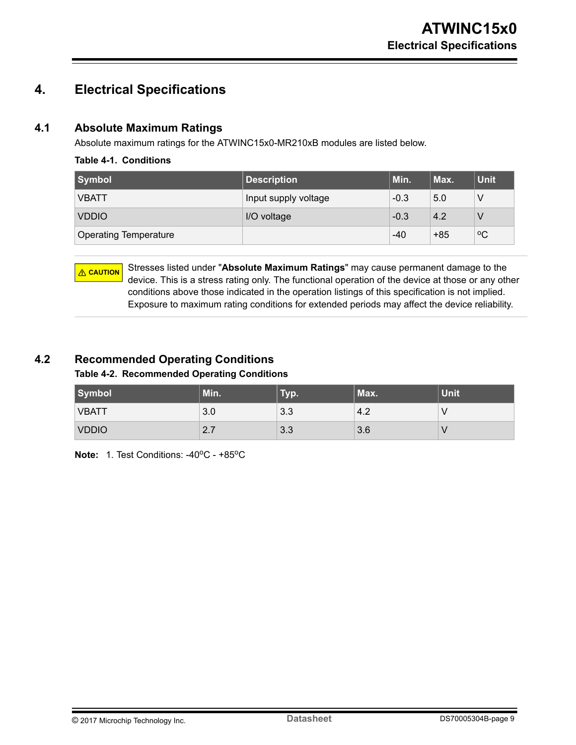## <span id="page-8-0"></span>**4. Electrical Specifications**

### **4.1 Absolute Maximum Ratings**

Absolute maximum ratings for the ATWINC15x0-MR210xB modules are listed below.

#### **Table 4-1. Conditions**

| Symbol                       | <b>Description</b>   | Min.   | Max.  | <b>Unit</b> |
|------------------------------|----------------------|--------|-------|-------------|
| <b>VBATT</b>                 | Input supply voltage | $-0.3$ | 5.0   |             |
| <b>VDDIO</b>                 | I/O voltage          | $-0.3$ | 4.2   |             |
| <b>Operating Temperature</b> |                      | $-40$  | $+85$ | $\rm ^{o}C$ |

**CAUTION** Stresses listed under "**Absolute Maximum Ratings**" may cause permanent damage to the device. This is a stress rating only. The functional operation of the device at those or any other conditions above those indicated in the operation listings of this specification is not implied. Exposure to maximum rating conditions for extended periods may affect the device reliability.

### **4.2 Recommended Operating Conditions**

#### **Table 4-2. Recommended Operating Conditions**

| <b>Symbol</b> | Min. | Typ. | Max. | <b>Unit</b> |
|---------------|------|------|------|-------------|
| <b>VBATT</b>  | 3.0  | 3.3  | 4.2  |             |
| <b>VDDIO</b>  | 2.7  | 3.3  | 3.6  |             |

**Note: 1. Test Conditions: -40°C - +85°C**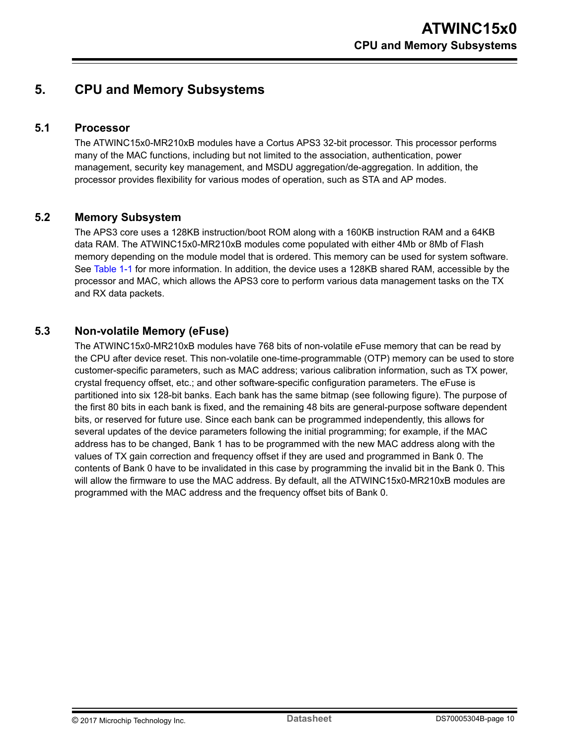## <span id="page-9-0"></span>**5. CPU and Memory Subsystems**

### **5.1 Processor**

The ATWINC15x0-MR210xB modules have a Cortus APS3 32-bit processor. This processor performs many of the MAC functions, including but not limited to the association, authentication, power management, security key management, and MSDU aggregation/de-aggregation. In addition, the processor provides flexibility for various modes of operation, such as STA and AP modes.

### **5.2 Memory Subsystem**

The APS3 core uses a 128KB instruction/boot ROM along with a 160KB instruction RAM and a 64KB data RAM. The ATWINC15x0-MR210xB modules come populated with either 4Mb or 8Mb of Flash memory depending on the module model that is ordered. This memory can be used for system software. See [Table 1-1](#page-4-0) for more information. In addition, the device uses a 128KB shared RAM, accessible by the processor and MAC, which allows the APS3 core to perform various data management tasks on the TX and RX data packets.

### **5.3 Non-volatile Memory (eFuse)**

The ATWINC15x0-MR210xB modules have 768 bits of non-volatile eFuse memory that can be read by the CPU after device reset. This non-volatile one-time-programmable (OTP) memory can be used to store customer-specific parameters, such as MAC address; various calibration information, such as TX power, crystal frequency offset, etc.; and other software-specific configuration parameters. The eFuse is partitioned into six 128-bit banks. Each bank has the same bitmap (see following figure). The purpose of the first 80 bits in each bank is fixed, and the remaining 48 bits are general-purpose software dependent bits, or reserved for future use. Since each bank can be programmed independently, this allows for several updates of the device parameters following the initial programming; for example, if the MAC address has to be changed, Bank 1 has to be programmed with the new MAC address along with the values of TX gain correction and frequency offset if they are used and programmed in Bank 0. The contents of Bank 0 have to be invalidated in this case by programming the invalid bit in the Bank 0. This will allow the firmware to use the MAC address. By default, all the ATWINC15x0-MR210xB modules are programmed with the MAC address and the frequency offset bits of Bank 0.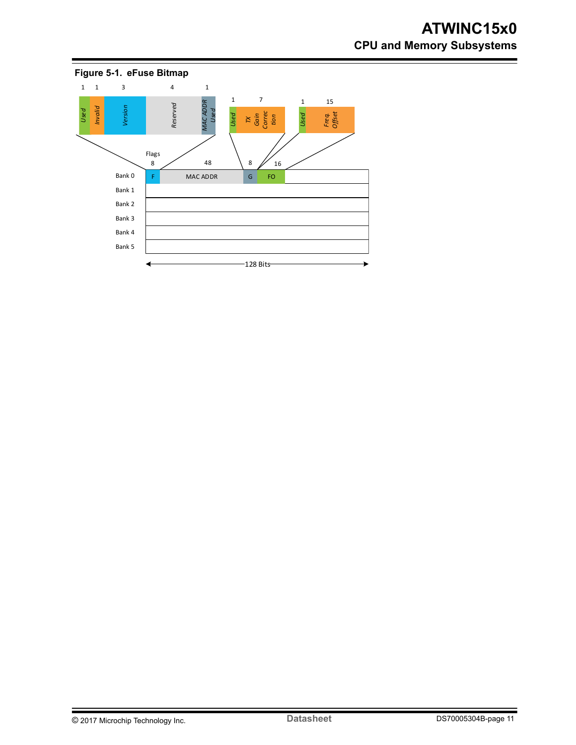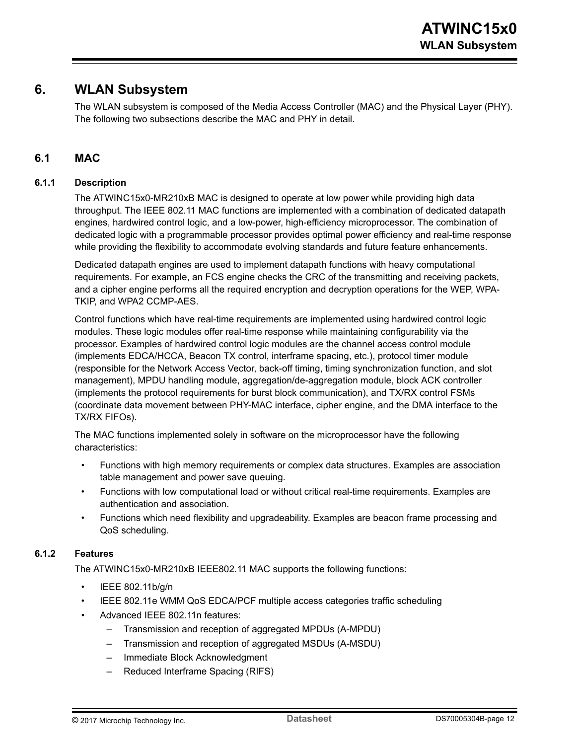## <span id="page-11-0"></span>**6. WLAN Subsystem**

The WLAN subsystem is composed of the Media Access Controller (MAC) and the Physical Layer (PHY). The following two subsections describe the MAC and PHY in detail.

### **6.1 MAC**

#### **6.1.1 Description**

The ATWINC15x0-MR210xB MAC is designed to operate at low power while providing high data throughput. The IEEE 802.11 MAC functions are implemented with a combination of dedicated datapath engines, hardwired control logic, and a low-power, high-efficiency microprocessor. The combination of dedicated logic with a programmable processor provides optimal power efficiency and real-time response while providing the flexibility to accommodate evolving standards and future feature enhancements.

Dedicated datapath engines are used to implement datapath functions with heavy computational requirements. For example, an FCS engine checks the CRC of the transmitting and receiving packets, and a cipher engine performs all the required encryption and decryption operations for the WEP, WPA-TKIP, and WPA2 CCMP-AES.

Control functions which have real-time requirements are implemented using hardwired control logic modules. These logic modules offer real-time response while maintaining configurability via the processor. Examples of hardwired control logic modules are the channel access control module (implements EDCA/HCCA, Beacon TX control, interframe spacing, etc.), protocol timer module (responsible for the Network Access Vector, back-off timing, timing synchronization function, and slot management), MPDU handling module, aggregation/de-aggregation module, block ACK controller (implements the protocol requirements for burst block communication), and TX/RX control FSMs (coordinate data movement between PHY-MAC interface, cipher engine, and the DMA interface to the TX/RX FIFOs).

The MAC functions implemented solely in software on the microprocessor have the following characteristics:

- Functions with high memory requirements or complex data structures. Examples are association table management and power save queuing.
- Functions with low computational load or without critical real-time requirements. Examples are authentication and association.
- Functions which need flexibility and upgradeability. Examples are beacon frame processing and QoS scheduling.

#### **6.1.2 Features**

The ATWINC15x0-MR210xB IEEE802.11 MAC supports the following functions:

- IEEE 802.11b/g/n
- IEEE 802.11e WMM QoS EDCA/PCF multiple access categories traffic scheduling
- Advanced IEEE 802.11n features:
	- Transmission and reception of aggregated MPDUs (A-MPDU)
	- Transmission and reception of aggregated MSDUs (A-MSDU)
	- Immediate Block Acknowledgment
	- Reduced Interframe Spacing (RIFS)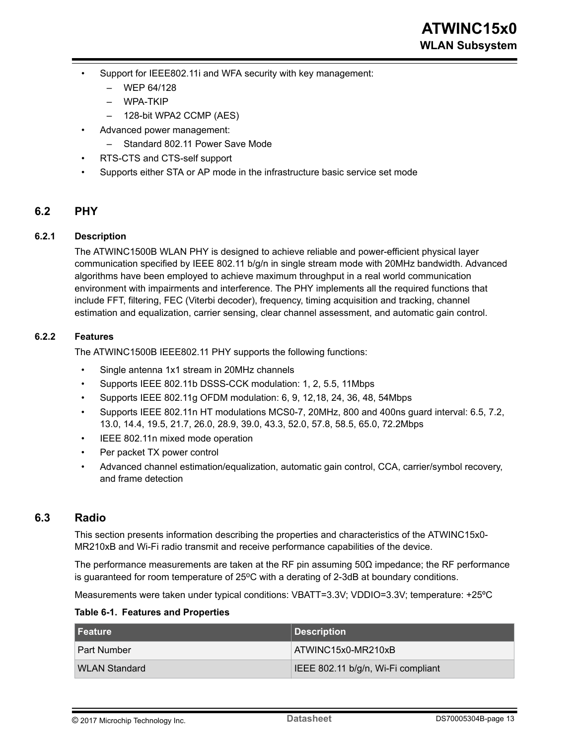- <span id="page-12-0"></span>Support for IEEE802.11i and WFA security with key management:
	- WEP 64/128
	- WPA-TKIP
	- 128-bit WPA2 CCMP (AES)
- Advanced power management:
	- Standard 802.11 Power Save Mode
- RTS-CTS and CTS-self support
- Supports either STA or AP mode in the infrastructure basic service set mode

### **6.2 PHY**

#### **6.2.1 Description**

The ATWINC1500B WLAN PHY is designed to achieve reliable and power-efficient physical layer communication specified by IEEE 802.11 b/g/n in single stream mode with 20MHz bandwidth. Advanced algorithms have been employed to achieve maximum throughput in a real world communication environment with impairments and interference. The PHY implements all the required functions that include FFT, filtering, FEC (Viterbi decoder), frequency, timing acquisition and tracking, channel estimation and equalization, carrier sensing, clear channel assessment, and automatic gain control.

#### **6.2.2 Features**

The ATWINC1500B IEEE802.11 PHY supports the following functions:

- Single antenna 1x1 stream in 20MHz channels
- Supports IEEE 802.11b DSSS-CCK modulation: 1, 2, 5.5, 11Mbps
- Supports IEEE 802.11g OFDM modulation: 6, 9, 12,18, 24, 36, 48, 54Mbps
- Supports IEEE 802.11n HT modulations MCS0-7, 20MHz, 800 and 400ns guard interval: 6.5, 7.2, 13.0, 14.4, 19.5, 21.7, 26.0, 28.9, 39.0, 43.3, 52.0, 57.8, 58.5, 65.0, 72.2Mbps
- IEEE 802.11n mixed mode operation
- Per packet TX power control
- Advanced channel estimation/equalization, automatic gain control, CCA, carrier/symbol recovery, and frame detection

#### **6.3 Radio**

This section presents information describing the properties and characteristics of the ATWINC15x0- MR210xB and Wi-Fi radio transmit and receive performance capabilities of the device.

The performance measurements are taken at the RF pin assuming  $50\Omega$  impedance; the RF performance is guaranteed for room temperature of  $25^{\circ}$ C with a derating of 2-3dB at boundary conditions.

Measurements were taken under typical conditions: VBATT=3.3V; VDDIO=3.3V; temperature: +25ºC

#### **Table 6-1. Features and Properties**

| l Feature          | Description                        |
|--------------------|------------------------------------|
| <b>Part Number</b> | ATWINC15x0-MR210xB                 |
| WLAN Standard      | IEEE 802.11 b/g/n, Wi-Fi compliant |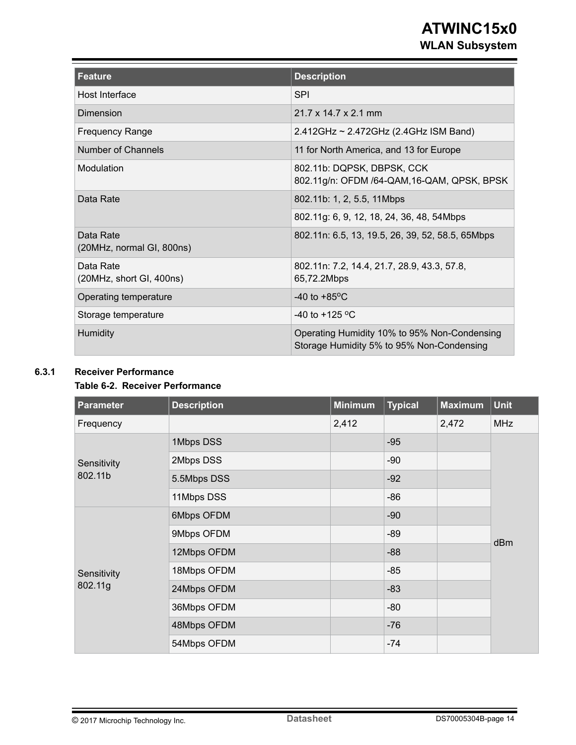## **ATWINC15x0 WLAN Subsystem**

| Feature                                | <b>Description</b>                                                                        |
|----------------------------------------|-------------------------------------------------------------------------------------------|
| Host Interface                         | <b>SPI</b>                                                                                |
| Dimension                              | 21.7 x 14.7 x 2.1 mm                                                                      |
| <b>Frequency Range</b>                 | 2.412GHz ~ 2.472GHz (2.4GHz ISM Band)                                                     |
| Number of Channels                     | 11 for North America, and 13 for Europe                                                   |
| Modulation                             | 802.11b: DQPSK, DBPSK, CCK<br>802.11g/n: OFDM /64-QAM, 16-QAM, QPSK, BPSK                 |
| Data Rate                              | 802.11b: 1, 2, 5.5, 11Mbps                                                                |
|                                        | 802.11g: 6, 9, 12, 18, 24, 36, 48, 54Mbps                                                 |
| Data Rate<br>(20MHz, normal GI, 800ns) | 802.11n: 6.5, 13, 19.5, 26, 39, 52, 58.5, 65Mbps                                          |
| Data Rate<br>(20MHz, short GI, 400ns)  | 802.11n: 7.2, 14.4, 21.7, 28.9, 43.3, 57.8,<br>65,72.2Mbps                                |
| Operating temperature                  | $-40$ to $+85$ <sup>o</sup> C                                                             |
| Storage temperature                    | $-40$ to $+125$ °C                                                                        |
| <b>Humidity</b>                        | Operating Humidity 10% to 95% Non-Condensing<br>Storage Humidity 5% to 95% Non-Condensing |

### **6.3.1 Receiver Performance**

#### **Table 6-2. Receiver Performance**

| Parameter   | <b>Description</b> | <b>Minimum</b> | <b>Typical</b> | <b>Maximum</b> | <b>Unit</b> |
|-------------|--------------------|----------------|----------------|----------------|-------------|
| Frequency   |                    | 2,412          |                | 2,472          | <b>MHz</b>  |
|             | 1Mbps DSS          |                | $-95$          |                |             |
| Sensitivity | 2Mbps DSS          |                | $-90$          |                |             |
| 802.11b     | 5.5Mbps DSS        |                | $-92$          |                |             |
|             | 11Mbps DSS         |                | $-86$          |                |             |
|             | 6Mbps OFDM         |                | $-90$          |                |             |
|             | 9Mbps OFDM         |                | $-89$          |                | dBm         |
|             | 12Mbps OFDM        |                | $-88$          |                |             |
| Sensitivity | 18Mbps OFDM        |                | $-85$          |                |             |
| 802.11g     | 24Mbps OFDM        |                | $-83$          |                |             |
|             | 36Mbps OFDM        |                | $-80$          |                |             |
|             | 48Mbps OFDM        |                | $-76$          |                |             |
|             | 54Mbps OFDM        |                | $-74$          |                |             |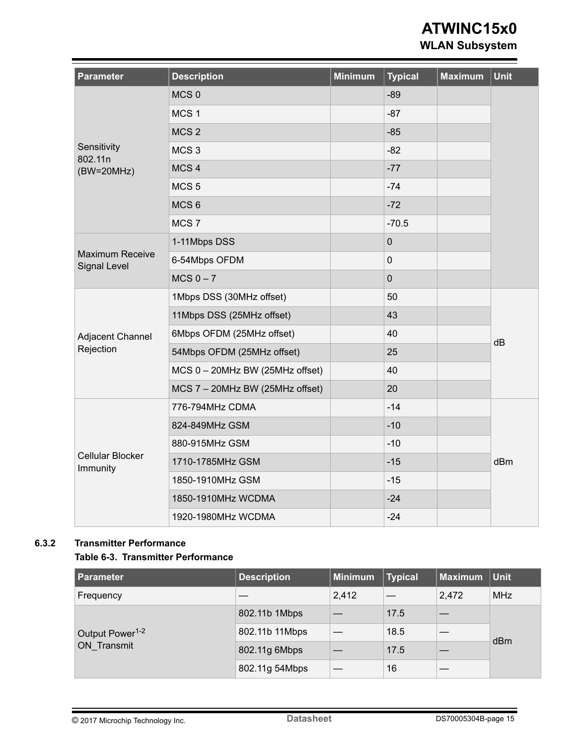## **ATWINC15x0**

**WLAN Subsystem**

| <b>Parameter</b>                              | <b>Description</b>              | <b>Minimum</b> | <b>Typical</b> | <b>Maximum</b> | <b>Unit</b> |
|-----------------------------------------------|---------------------------------|----------------|----------------|----------------|-------------|
|                                               | MCS <sub>0</sub>                |                | $-89$          |                |             |
|                                               | MCS <sub>1</sub>                |                | $-87$          |                |             |
|                                               | MCS <sub>2</sub>                |                | $-85$          |                |             |
| Sensitivity<br>802.11n                        | MCS <sub>3</sub>                |                | $-82$          |                |             |
| $(BW=20MHz)$                                  | MCS <sub>4</sub>                |                | $-77$          |                |             |
|                                               | MCS <sub>5</sub>                |                | $-74$          |                |             |
|                                               | MCS <sub>6</sub>                |                | $-72$          |                |             |
|                                               | MCS <sub>7</sub>                |                | $-70.5$        |                |             |
|                                               | 1-11Mbps DSS                    |                | $\mathbf 0$    |                |             |
| <b>Maximum Receive</b><br><b>Signal Level</b> | 6-54Mbps OFDM                   |                | $\mathbf 0$    |                |             |
|                                               | $MCS 0 - 7$                     |                | $\mathbf 0$    |                |             |
|                                               | 1Mbps DSS (30MHz offset)        |                | 50             |                |             |
|                                               | 11Mbps DSS (25MHz offset)       |                | 43             |                |             |
| Adjacent Channel                              | 6Mbps OFDM (25MHz offset)       |                | 40             |                | dB          |
| Rejection                                     | 54Mbps OFDM (25MHz offset)      |                | 25             |                |             |
|                                               | MCS 0 - 20MHz BW (25MHz offset) |                | 40             |                |             |
|                                               | MCS 7 - 20MHz BW (25MHz offset) |                | 20             |                |             |
|                                               | 776-794MHz CDMA                 |                | $-14$          |                |             |
|                                               | 824-849MHz GSM                  |                | $-10$          |                |             |
|                                               | 880-915MHz GSM                  |                | $-10$          |                |             |
| Cellular Blocker<br>Immunity                  | 1710-1785MHz GSM                |                | $-15$          |                | dBm         |
|                                               | 1850-1910MHz GSM                |                | $-15$          |                |             |
|                                               | 1850-1910MHz WCDMA              |                | $-24$          |                |             |
|                                               | 1920-1980MHz WCDMA              |                | $-24$          |                |             |

#### **6.3.2 Transmitter Performance**

#### **Table 6-3. Transmitter Performance**

| Parameter                   | <b>Description</b> | $\vert$ Minimum | <b>Typical</b> | <b>Maximum</b> | $ $ Unit   |
|-----------------------------|--------------------|-----------------|----------------|----------------|------------|
| Frequency                   |                    | 2,412           |                | 2,472          | <b>MHz</b> |
|                             | 802.11b 1Mbps      |                 | 17.5           |                | dBm        |
| Output Power <sup>1-2</sup> | 802.11b 11Mbps     |                 | 18.5           |                |            |
| ON Transmit                 | 802.11g 6Mbps      |                 | 17.5           |                |            |
|                             | 802.11g 54Mbps     |                 | 16             |                |            |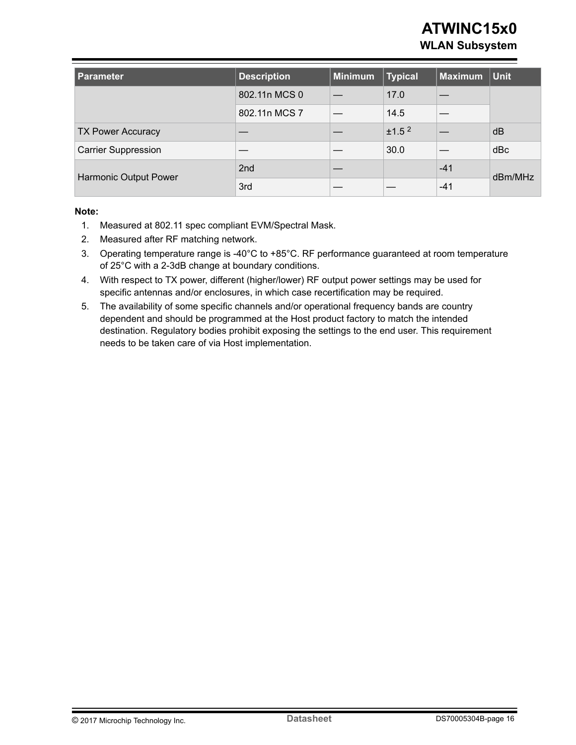## **ATWINC15x0 WLAN Subsystem**

| <b>Parameter</b>           | <b>Description</b> | Minimum | <b>Typical</b>    | <b>Maximum</b> | $ $ Unit |  |
|----------------------------|--------------------|---------|-------------------|----------------|----------|--|
|                            | 802.11n MCS 0      |         | 17.0              |                |          |  |
|                            | 802.11n MCS 7      |         | 14.5              |                |          |  |
| <b>TX Power Accuracy</b>   |                    |         | ±1.5 <sup>2</sup> |                | dB       |  |
| <b>Carrier Suppression</b> |                    |         | 30.0              |                | dBc      |  |
|                            | 2 <sub>nd</sub>    |         |                   | $-41$          |          |  |
| Harmonic Output Power      | 3rd                |         |                   | $-41$          | dBm/MHz  |  |

#### **Note:**

- 1. Measured at 802.11 spec compliant EVM/Spectral Mask.
- 2. Measured after RF matching network.
- 3. Operating temperature range is -40°C to +85°C. RF performance guaranteed at room temperature of 25°C with a 2-3dB change at boundary conditions.
- 4. With respect to TX power, different (higher/lower) RF output power settings may be used for specific antennas and/or enclosures, in which case recertification may be required.
- 5. The availability of some specific channels and/or operational frequency bands are country dependent and should be programmed at the Host product factory to match the intended destination. Regulatory bodies prohibit exposing the settings to the end user. This requirement needs to be taken care of via Host implementation.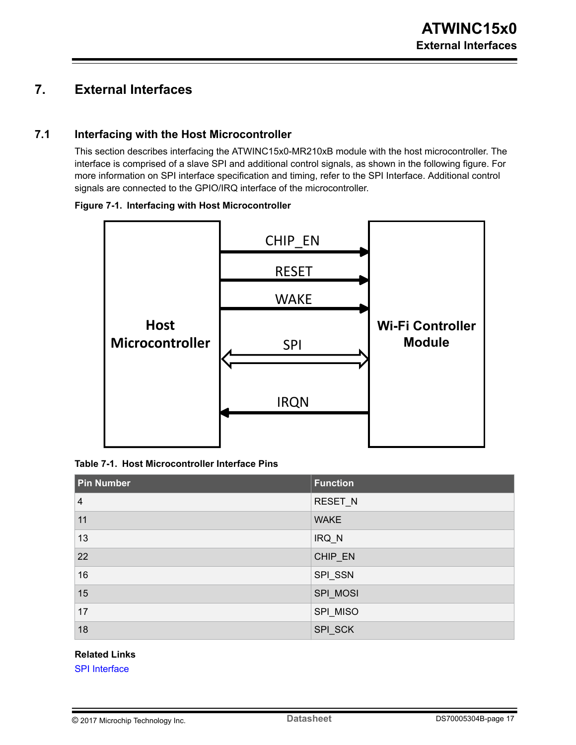## <span id="page-16-0"></span>**7. External Interfaces**

### **7.1 Interfacing with the Host Microcontroller**

This section describes interfacing the ATWINC15x0-MR210xB module with the host microcontroller. The interface is comprised of a slave SPI and additional control signals, as shown in the following figure. For more information on SPI interface specification and timing, refer to the SPI Interface. Additional control signals are connected to the GPIO/IRQ interface of the microcontroller.

#### **Figure 7-1. Interfacing with Host Microcontroller**



**Table 7-1. Host Microcontroller Interface Pins**

| <b>Pin Number</b> | <b>Function</b> |
|-------------------|-----------------|
| $\overline{4}$    | RESET_N         |
| 11                | <b>WAKE</b>     |
| 13                | IRQ_N           |
| 22                | CHIP_EN         |
| 16                | SPI_SSN         |
| 15                | SPI_MOSI        |
| 17                | SPI_MISO        |
| 18                | SPI_SCK         |

#### **Related Links**

[SPI Interface](#page-17-0)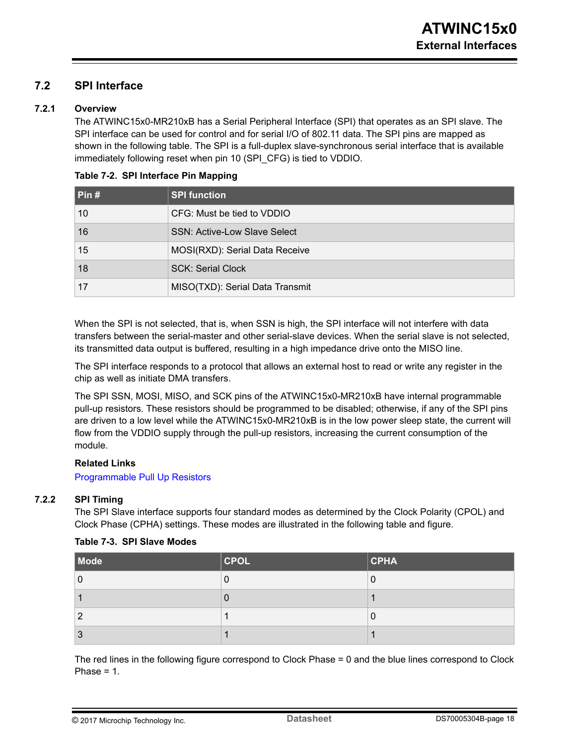### <span id="page-17-0"></span>**7.2 SPI Interface**

#### **7.2.1 Overview**

The ATWINC15x0-MR210xB has a Serial Peripheral Interface (SPI) that operates as an SPI slave. The SPI interface can be used for control and for serial I/O of 802.11 data. The SPI pins are mapped as shown in the following table. The SPI is a full-duplex slave-synchronous serial interface that is available immediately following reset when pin 10 (SPI\_CFG) is tied to VDDIO.

| Pin# | <b>SPI function</b>                 |
|------|-------------------------------------|
| 10   | CFG: Must be tied to VDDIO          |
| 16   | <b>SSN: Active-Low Slave Select</b> |
| 15   | MOSI(RXD): Serial Data Receive      |
| 18   | <b>SCK: Serial Clock</b>            |
| 17   | MISO(TXD): Serial Data Transmit     |

#### **Table 7-2. SPI Interface Pin Mapping**

When the SPI is not selected, that is, when SSN is high, the SPI interface will not interfere with data transfers between the serial-master and other serial-slave devices. When the serial slave is not selected, its transmitted data output is buffered, resulting in a high impedance drive onto the MISO line.

The SPI interface responds to a protocol that allows an external host to read or write any register in the chip as well as initiate DMA transfers.

The SPI SSN, MOSI, MISO, and SCK pins of the ATWINC15x0-MR210xB have internal programmable pull-up resistors. These resistors should be programmed to be disabled; otherwise, if any of the SPI pins are driven to a low level while the ATWINC15x0-MR210xB is in the low power sleep state, the current will flow from the VDDIO supply through the pull-up resistors, increasing the current consumption of the module.

#### **Related Links**

[Programmable Pull Up Resistors](#page-25-0)

#### **7.2.2 SPI Timing**

The SPI Slave interface supports four standard modes as determined by the Clock Polarity (CPOL) and Clock Phase (CPHA) settings. These modes are illustrated in the following table and figure.

|  |  |  |  | Table 7-3. SPI Slave Modes |
|--|--|--|--|----------------------------|
|--|--|--|--|----------------------------|

| Mode | $ $ CPOL | $ $ CPHA |
|------|----------|----------|
|      | Ü        |          |
|      | U        |          |
| n    |          |          |
| 3    |          |          |

The red lines in the following figure correspond to Clock Phase = 0 and the blue lines correspond to Clock Phase  $= 1$ .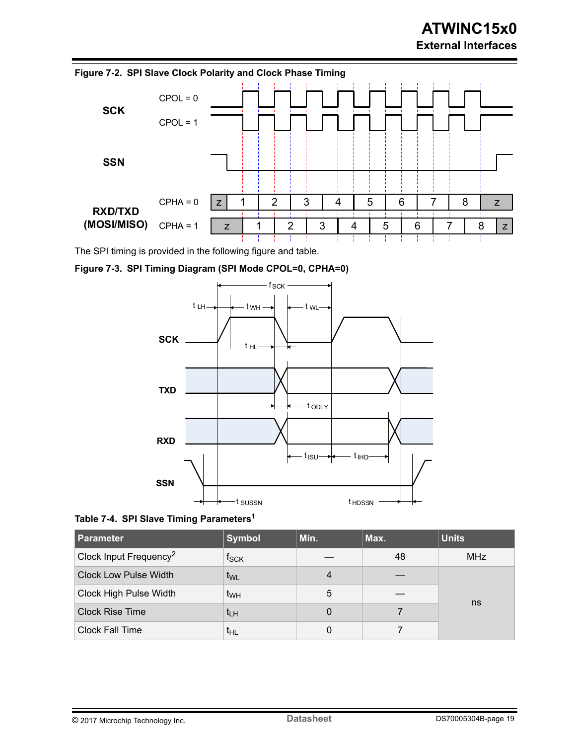

The SPI timing is provided in the following figure and table.







| <b>Parameter</b>                   | <b>Symbol</b>               | Min. | Max. | <b>Units</b> |
|------------------------------------|-----------------------------|------|------|--------------|
| Clock Input Frequency <sup>2</sup> | $\mathsf{f}_{\mathsf{SCK}}$ |      | 48   | <b>MHz</b>   |
| <b>Clock Low Pulse Width</b>       | t <sub>WL</sub>             | 4    |      |              |
| Clock High Pulse Width             | $t_{WH}$                    | 5    |      | ns           |
| <b>Clock Rise Time</b>             | $t_{LH}$                    | 0    |      |              |
| <b>Clock Fall Time</b>             | $t_{HL}$                    |      |      |              |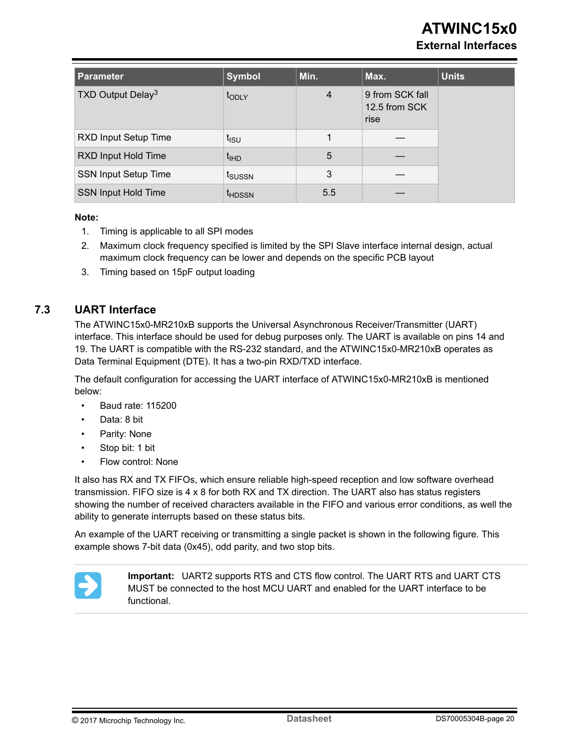## **ATWINC15x0**

### **External Interfaces**

<span id="page-19-0"></span>

| <b>Parameter</b>              | <b>Symbol</b>      | Min.           | Max.                                     | <b>Units</b> |
|-------------------------------|--------------------|----------------|------------------------------------------|--------------|
| TXD Output Delay <sup>3</sup> | t <sub>ODLY</sub>  | $\overline{4}$ | 9 from SCK fall<br>12.5 from SCK<br>rise |              |
| RXD Input Setup Time          | $t_{\rm ISU}$      |                |                                          |              |
| RXD Input Hold Time           | $t_{\text{IHD}}$   | 5              |                                          |              |
| <b>SSN Input Setup Time</b>   | t <sub>SUSSN</sub> | 3              |                                          |              |
| SSN Input Hold Time           | <sup>t</sup> HDSSN | 5.5            |                                          |              |

#### **Note:**

- 1. Timing is applicable to all SPI modes
- 2. Maximum clock frequency specified is limited by the SPI Slave interface internal design, actual maximum clock frequency can be lower and depends on the specific PCB layout
- 3. Timing based on 15pF output loading

### **7.3 UART Interface**

The ATWINC15x0-MR210xB supports the Universal Asynchronous Receiver/Transmitter (UART) interface. This interface should be used for debug purposes only. The UART is available on pins 14 and 19. The UART is compatible with the RS-232 standard, and the ATWINC15x0-MR210xB operates as Data Terminal Equipment (DTE). It has a two-pin RXD/TXD interface.

The default configuration for accessing the UART interface of ATWINC15x0-MR210xB is mentioned below:

- Baud rate: 115200
- Data: 8 bit
- Parity: None
- Stop bit: 1 bit
- Flow control: None

It also has RX and TX FIFOs, which ensure reliable high-speed reception and low software overhead transmission. FIFO size is 4 x 8 for both RX and TX direction. The UART also has status registers showing the number of received characters available in the FIFO and various error conditions, as well the ability to generate interrupts based on these status bits.

An example of the UART receiving or transmitting a single packet is shown in the following figure. This example shows 7-bit data (0x45), odd parity, and two stop bits.



**Important:**  UART2 supports RTS and CTS flow control. The UART RTS and UART CTS MUST be connected to the host MCU UART and enabled for the UART interface to be functional.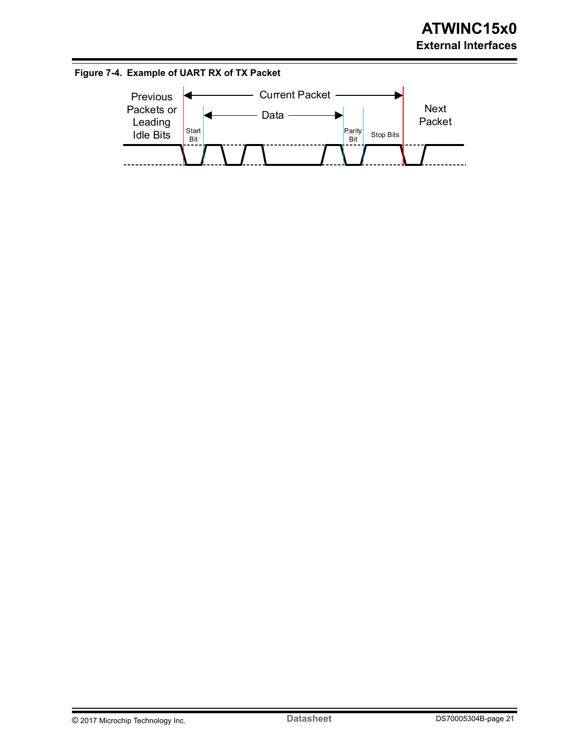

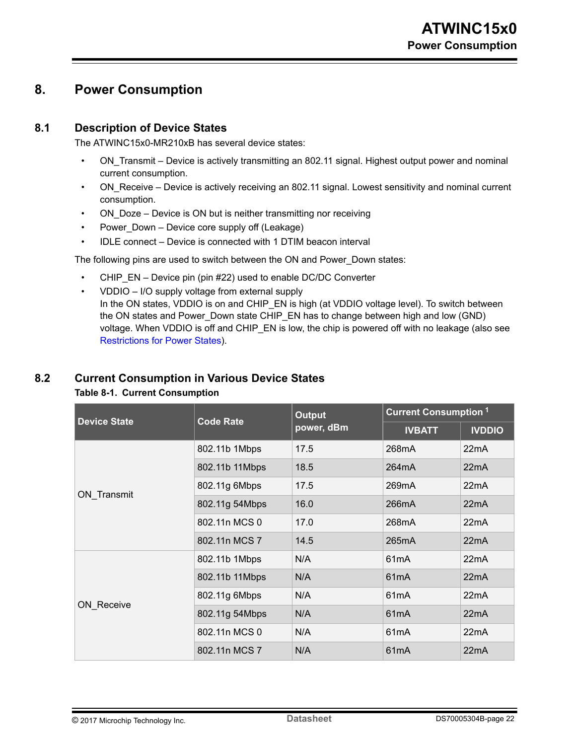## <span id="page-21-0"></span>**8. Power Consumption**

### **8.1 Description of Device States**

The ATWINC15x0-MR210xB has several device states:

- ON Transmit Device is actively transmitting an 802.11 signal. Highest output power and nominal current consumption.
- ON Receive Device is actively receiving an 802.11 signal. Lowest sensitivity and nominal current consumption.
- ON Doze Device is ON but is neither transmitting nor receiving
- Power Down Device core supply off (Leakage)
- IDLE connect Device is connected with 1 DTIM beacon interval

The following pins are used to switch between the ON and Power\_Down states:

- CHIP EN Device pin (pin #22) used to enable DC/DC Converter
- VDDIO I/O supply voltage from external supply In the ON states, VDDIO is on and CHIP\_EN is high (at VDDIO voltage level). To switch between the ON states and Power\_Down state CHIP\_EN has to change between high and low (GND) voltage. When VDDIO is off and CHIP\_EN is low, the chip is powered off with no leakage (also see [Restrictions for Power States](#page-22-0)).

### **8.2 Current Consumption in Various Device States**

#### **Table 8-1. Current Consumption**

| <b>Device State</b> | <b>Code Rate</b> | <b>Output</b> | <b>Current Consumption 1</b> |               |  |
|---------------------|------------------|---------------|------------------------------|---------------|--|
|                     |                  | power, dBm    | <b>IVBATT</b>                | <b>IVDDIO</b> |  |
|                     | 802.11b 1Mbps    | 17.5          | 268mA                        | 22mA          |  |
|                     | 802.11b 11Mbps   | 18.5          | 264mA                        | 22mA          |  |
|                     | 802.11g 6Mbps    | 17.5          | 269mA                        | 22mA          |  |
| ON_Transmit         | 802.11g 54Mbps   | 16.0          | 266mA                        | 22mA          |  |
|                     | 802.11n MCS 0    | 17.0          | 268 <sub>m</sub> A           | 22mA          |  |
|                     | 802.11n MCS 7    | 14.5          | 265mA                        | 22mA          |  |
|                     | 802.11b 1Mbps    | N/A           | 61 <sub>m</sub> A            | 22mA          |  |
|                     | 802.11b 11Mbps   | N/A           | 61 <sub>m</sub> A            | 22mA          |  |
| <b>ON Receive</b>   | 802.11g 6Mbps    | N/A           | 61 <sub>m</sub> A            | 22mA          |  |
|                     | 802.11g 54Mbps   | N/A           | 61 <sub>m</sub> A            | 22mA          |  |
|                     | 802.11n MCS 0    | N/A           | 61 <sub>m</sub> A            | 22mA          |  |
|                     | 802.11n MCS 7    | N/A           | 61 <sub>m</sub> A            | 22mA          |  |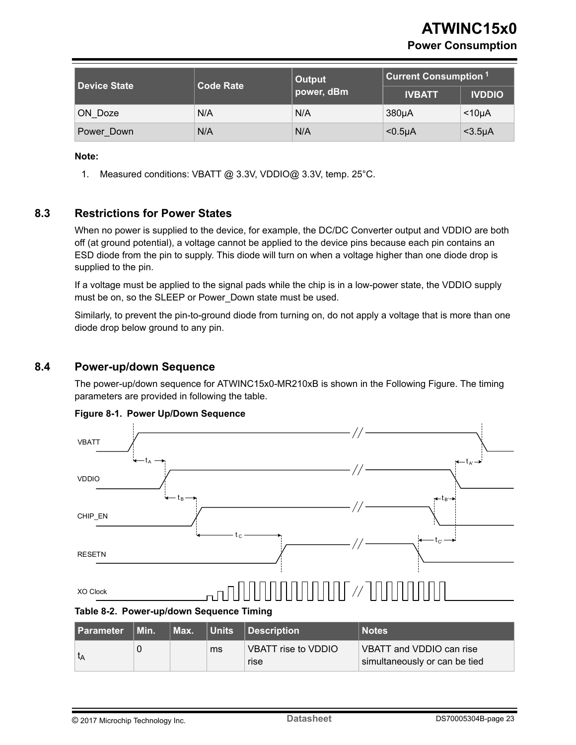<span id="page-22-0"></span>

| Device State | <b>Code Rate</b> | Output     | <b>Current Consumption 1</b> |                 |  |
|--------------|------------------|------------|------------------------------|-----------------|--|
|              |                  | power, dBm | <b>IVBATT</b>                | <b>IVDDIO</b>   |  |
| ON Doze      | N/A              | N/A        | 380 <sub>µ</sub> A           | $<$ 10µA        |  |
| Power Down   | N/A              | N/A        | $0.5\mu$                     | $<$ 3.5 $\mu$ A |  |

#### **Note:**

1. Measured conditions: VBATT @ 3.3V, VDDIO@ 3.3V, temp. 25°C.

### **8.3 Restrictions for Power States**

When no power is supplied to the device, for example, the DC/DC Converter output and VDDIO are both off (at ground potential), a voltage cannot be applied to the device pins because each pin contains an ESD diode from the pin to supply. This diode will turn on when a voltage higher than one diode drop is supplied to the pin.

If a voltage must be applied to the signal pads while the chip is in a low-power state, the VDDIO supply must be on, so the SLEEP or Power Down state must be used.

Similarly, to prevent the pin-to-ground diode from turning on, do not apply a voltage that is more than one diode drop below ground to any pin.

### **8.4 Power-up/down Sequence**

The power-up/down sequence for ATWINC15x0-MR210xB is shown in the Following Figure. The timing parameters are provided in following the table.



#### **Figure 8-1. Power Up/Down Sequence**

**Table 8-2. Power-up/down Sequence Timing**

| <b>Parameter Min.</b> | Max. |    | Units Description           | <b>Notes</b>                                              |
|-----------------------|------|----|-----------------------------|-----------------------------------------------------------|
| ιĄ                    |      | ms | VBATT rise to VDDIO<br>rise | VBATT and VDDIO can rise<br>simultaneously or can be tied |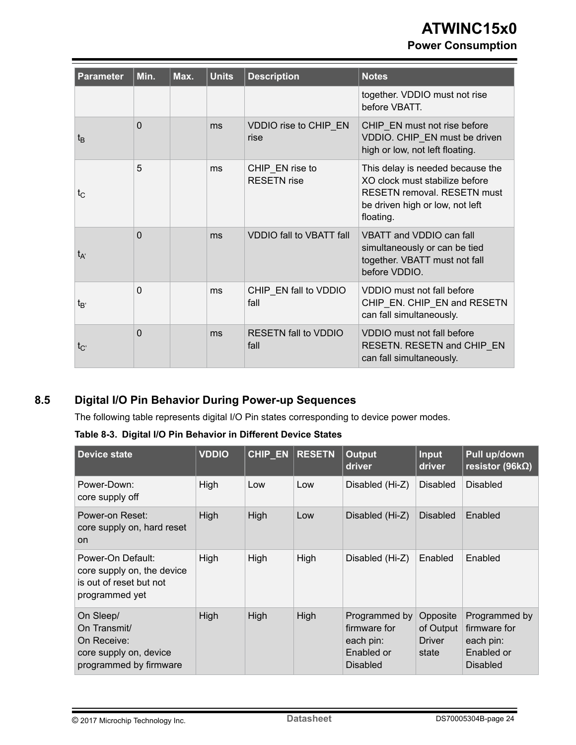## **ATWINC15x0 Power Consumption**

<span id="page-23-0"></span>

| <b>Parameter</b> | Min.     | Max. | <b>Units</b> | <b>Description</b>                    | <b>Notes</b>                                                                                                                                             |
|------------------|----------|------|--------------|---------------------------------------|----------------------------------------------------------------------------------------------------------------------------------------------------------|
|                  |          |      |              |                                       | together. VDDIO must not rise<br>before VBATT.                                                                                                           |
| t <sub>B</sub>   | $\Omega$ |      | ms           | VDDIO rise to CHIP_EN<br>rise         | CHIP_EN must not rise before<br>VDDIO. CHIP_EN must be driven<br>high or low, not left floating.                                                         |
| tc               | 5        |      | ms           | CHIP EN rise to<br><b>RESETN</b> rise | This delay is needed because the<br>XO clock must stabilize before<br><b>RESETN removal. RESETN must</b><br>be driven high or low, not left<br>floating. |
| t <sub>A'</sub>  | $\Omega$ |      | ms           | <b>VDDIO fall to VBATT fall</b>       | VBATT and VDDIO can fall<br>simultaneously or can be tied<br>together. VBATT must not fall<br>before VDDIO.                                              |
| $t_{B'}$         | $\Omega$ |      | ms           | CHIP EN fall to VDDIO<br>fall         | VDDIO must not fall before<br>CHIP_EN. CHIP_EN and RESETN<br>can fall simultaneously.                                                                    |
| $t_{C'}$         | $\Omega$ |      | ms           | <b>RESETN fall to VDDIO</b><br>fall   | VDDIO must not fall before<br>RESETN. RESETN and CHIP_EN<br>can fall simultaneously.                                                                     |

## **8.5 Digital I/O Pin Behavior During Power-up Sequences**

The following table represents digital I/O Pin states corresponding to device power modes.

**Table 8-3. Digital I/O Pin Behavior in Different Device States**

| Device state                                                                                 | <b>VDDIO</b> | CHIP_EN | <b>RESETN</b> | <b>Output</b><br>driver                                                     | Input<br>driver                                 | Pull up/down<br>resistor (96k $\Omega$ )                                    |
|----------------------------------------------------------------------------------------------|--------------|---------|---------------|-----------------------------------------------------------------------------|-------------------------------------------------|-----------------------------------------------------------------------------|
| Power-Down:<br>core supply off                                                               | High         | Low     | Low           | Disabled (Hi-Z)                                                             | <b>Disabled</b>                                 | <b>Disabled</b>                                                             |
| Power-on Reset:<br>core supply on, hard reset<br><b>on</b>                                   | High         | High    | Low           | Disabled (Hi-Z)                                                             | <b>Disabled</b>                                 | Enabled                                                                     |
| Power-On Default:<br>core supply on, the device<br>is out of reset but not<br>programmed yet | High         | High    | High          | Disabled (Hi-Z)                                                             | Enabled                                         | Enabled                                                                     |
| On Sleep/<br>On Transmit/<br>On Receive:<br>core supply on, device<br>programmed by firmware | High         | High    | <b>High</b>   | Programmed by<br>firmware for<br>each pin:<br>Enabled or<br><b>Disabled</b> | Opposite<br>of Output<br><b>Driver</b><br>state | Programmed by<br>firmware for<br>each pin:<br>Enabled or<br><b>Disabled</b> |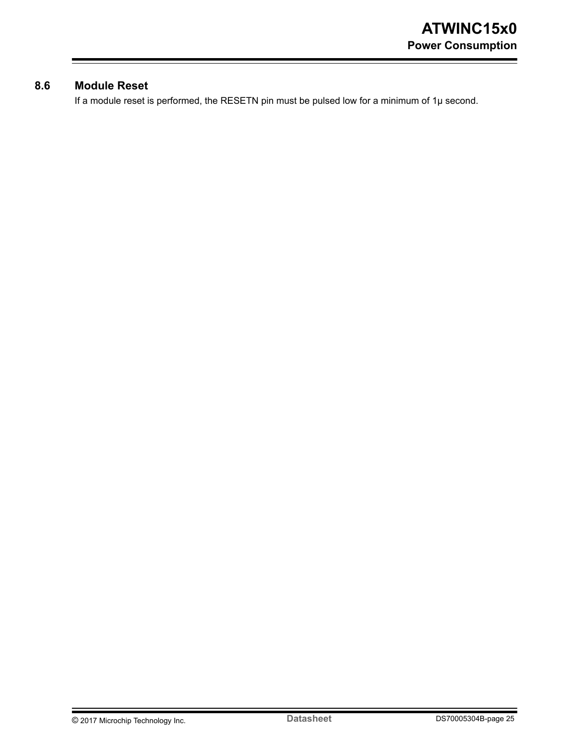### <span id="page-24-0"></span>**8.6 Module Reset**

If a module reset is performed, the RESETN pin must be pulsed low for a minimum of 1µ second.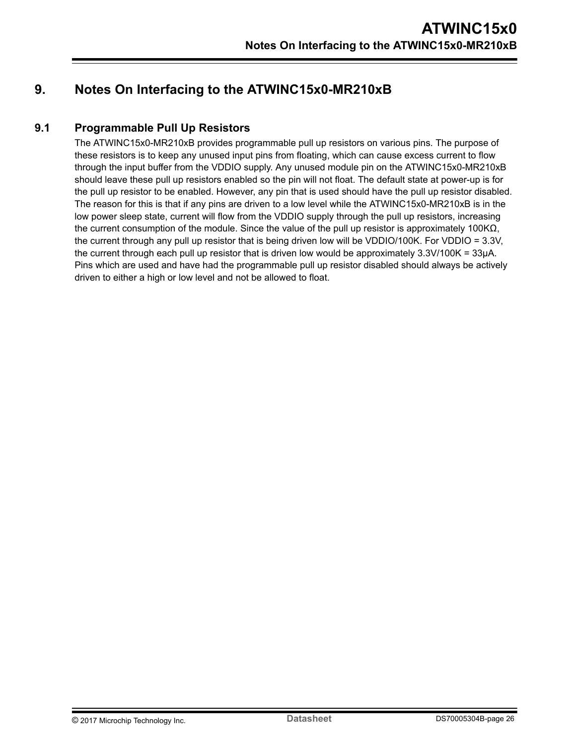## <span id="page-25-0"></span>**9. Notes On Interfacing to the ATWINC15x0-MR210xB**

### **9.1 Programmable Pull Up Resistors**

The ATWINC15x0-MR210xB provides programmable pull up resistors on various pins. The purpose of these resistors is to keep any unused input pins from floating, which can cause excess current to flow through the input buffer from the VDDIO supply. Any unused module pin on the ATWINC15x0-MR210xB should leave these pull up resistors enabled so the pin will not float. The default state at power-up is for the pull up resistor to be enabled. However, any pin that is used should have the pull up resistor disabled. The reason for this is that if any pins are driven to a low level while the ATWINC15x0-MR210xB is in the low power sleep state, current will flow from the VDDIO supply through the pull up resistors, increasing the current consumption of the module. Since the value of the pull up resistor is approximately 100KΩ, the current through any pull up resistor that is being driven low will be VDDIO/100K. For VDDIO = 3.3V, the current through each pull up resistor that is driven low would be approximately 3.3V/100K = 33µA. Pins which are used and have had the programmable pull up resistor disabled should always be actively driven to either a high or low level and not be allowed to float.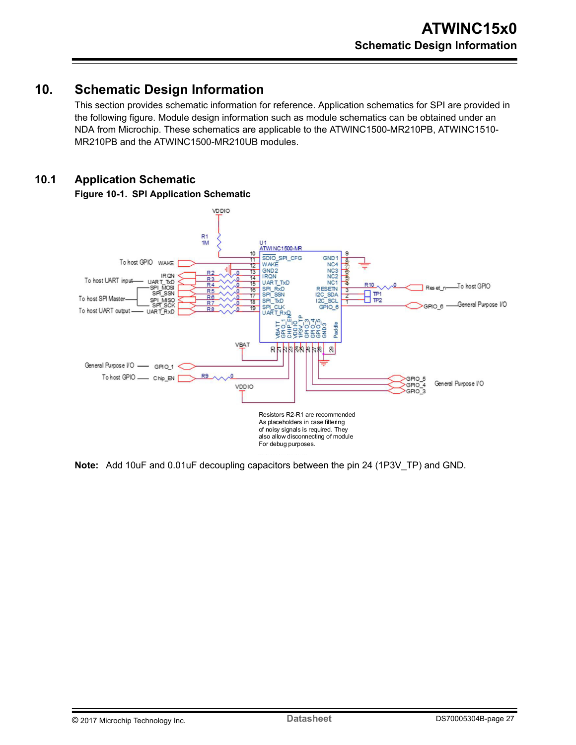## <span id="page-26-0"></span>**10. Schematic Design Information**

This section provides schematic information for reference. Application schematics for SPI are provided in the following figure. Module design information such as module schematics can be obtained under an NDA from Microchip. These schematics are applicable to the ATWINC1500-MR210PB, ATWINC1510- MR210PB and the ATWINC1500-MR210UB modules.

### **10.1 Application Schematic**



**Figure 10-1. SPI Application Schematic**

**Note:**  Add 10uF and 0.01uF decoupling capacitors between the pin 24 (1P3V\_TP) and GND.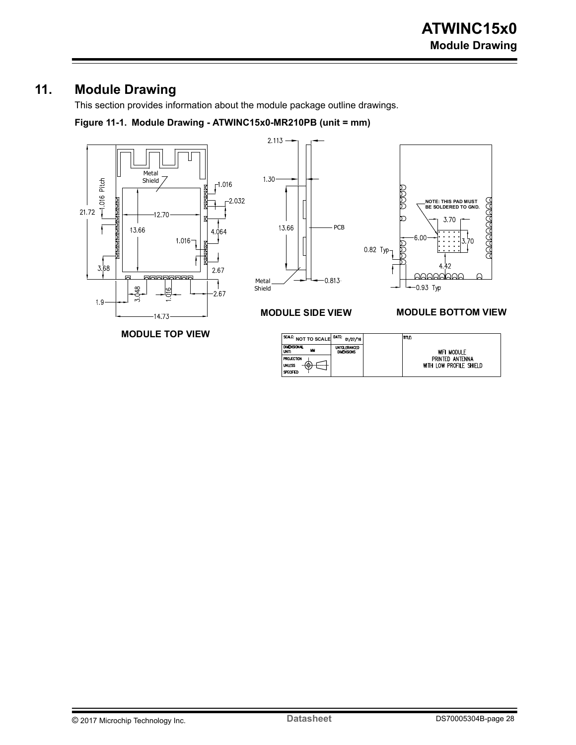## <span id="page-27-0"></span>**11. Module Drawing**

This section provides information about the module package outline drawings.

**Figure 11-1. Module Drawing - ATWINC15x0-MR210PB (unit = mm)**



SPECIFIED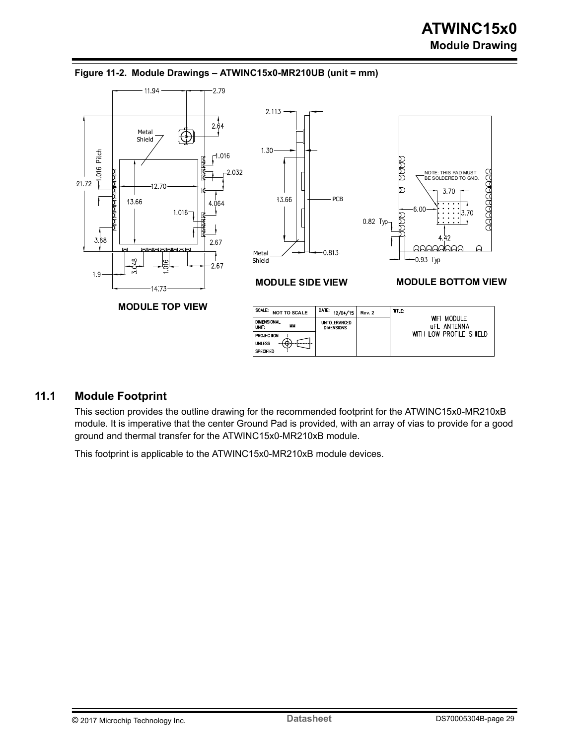

#### <span id="page-28-0"></span>**Figure 11-2. Module Drawings – ATWINC15x0-MR210UB (unit = mm)**

### **11.1 Module Footprint**

This section provides the outline drawing for the recommended footprint for the ATWINC15x0-MR210xB module. It is imperative that the center Ground Pad is provided, with an array of vias to provide for a good ground and thermal transfer for the ATWINC15x0-MR210xB module.

This footprint is applicable to the ATWINC15x0-MR210xB module devices.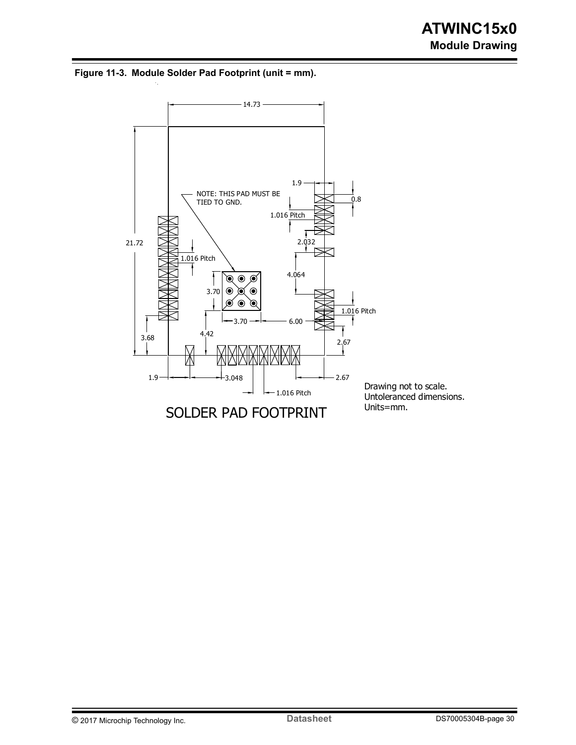**Figure 11-3. Module Solder Pad Footprint (unit = mm).**

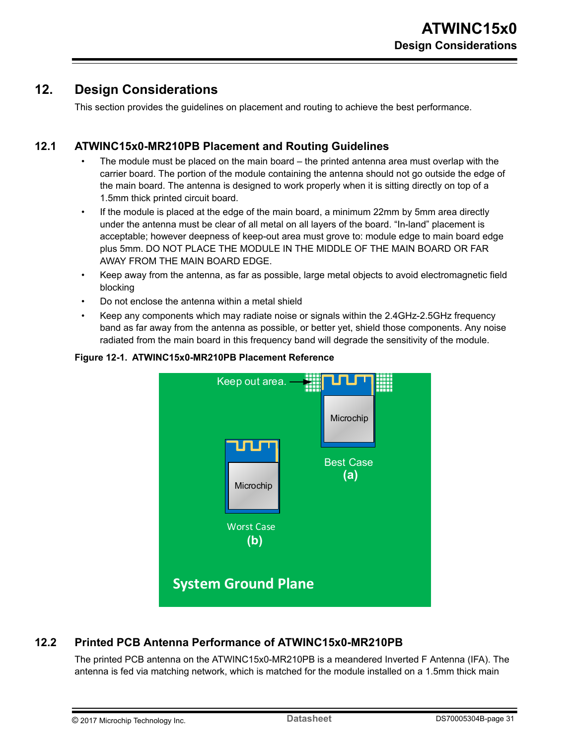## <span id="page-30-0"></span>**12. Design Considerations**

This section provides the guidelines on placement and routing to achieve the best performance.

### **12.1 ATWINC15x0-MR210PB Placement and Routing Guidelines**

- The module must be placed on the main board the printed antenna area must overlap with the carrier board. The portion of the module containing the antenna should not go outside the edge of the main board. The antenna is designed to work properly when it is sitting directly on top of a 1.5mm thick printed circuit board.
- If the module is placed at the edge of the main board, a minimum 22mm by 5mm area directly under the antenna must be clear of all metal on all layers of the board. "In-land" placement is acceptable; however deepness of keep-out area must grove to: module edge to main board edge plus 5mm. DO NOT PLACE THE MODULE IN THE MIDDLE OF THE MAIN BOARD OR FAR AWAY FROM THE MAIN BOARD EDGE.
- Keep away from the antenna, as far as possible, large metal objects to avoid electromagnetic field blocking
- Do not enclose the antenna within a metal shield
- Keep any components which may radiate noise or signals within the 2.4GHz-2.5GHz frequency band as far away from the antenna as possible, or better yet, shield those components. Any noise radiated from the main board in this frequency band will degrade the sensitivity of the module.



#### **Figure 12-1. ATWINC15x0-MR210PB Placement Reference**

### **12.2 Printed PCB Antenna Performance of ATWINC15x0-MR210PB**

The printed PCB antenna on the ATWINC15x0-MR210PB is a meandered Inverted F Antenna (IFA). The antenna is fed via matching network, which is matched for the module installed on a 1.5mm thick main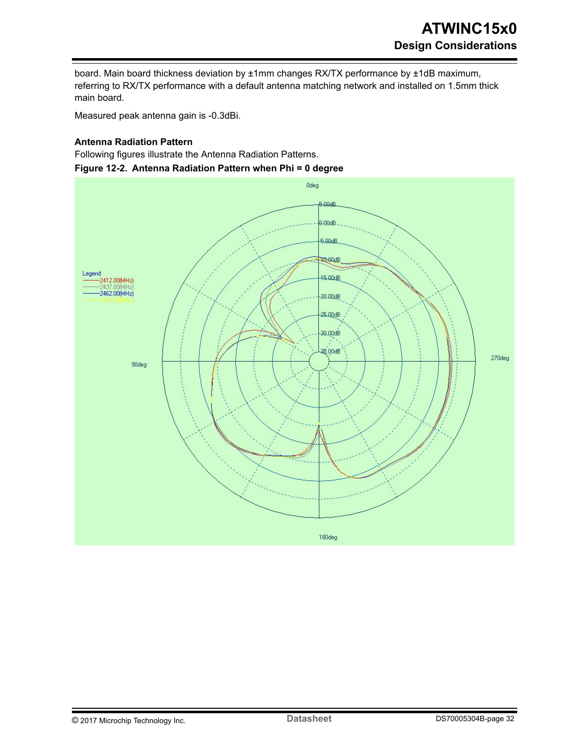board. Main board thickness deviation by ±1mm changes RX/TX performance by ±1dB maximum, referring to RX/TX performance with a default antenna matching network and installed on 1.5mm thick main board.

Measured peak antenna gain is -0.3dBi.

#### **Antenna Radiation Pattern**

Following figures illustrate the Antenna Radiation Patterns. **Figure 12-2. Antenna Radiation Pattern when Phi = 0 degree**

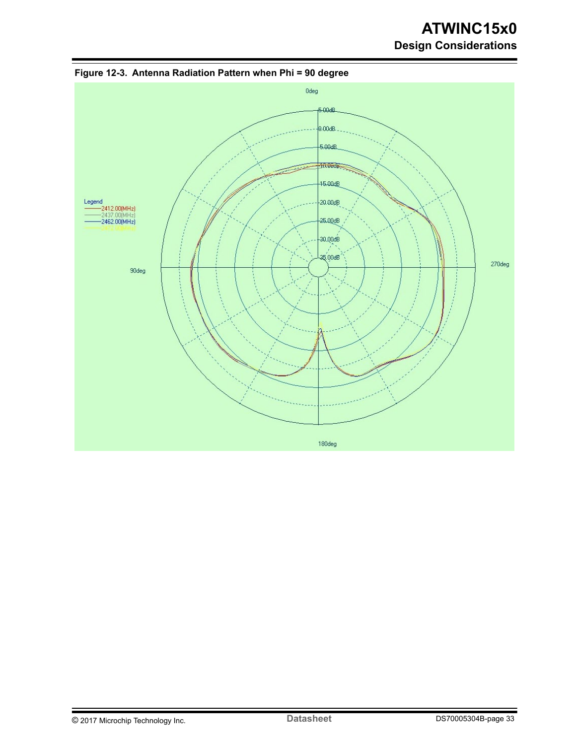## **ATWINC15x0 Design Considerations**



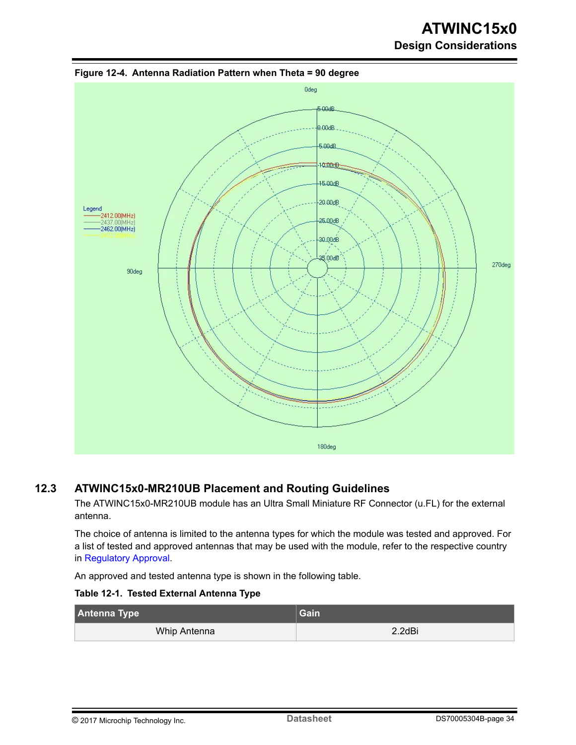## **ATWINC15x0 Design Considerations**



<span id="page-33-0"></span>**Figure 12-4. Antenna Radiation Pattern when Theta = 90 degree**

### **12.3 ATWINC15x0-MR210UB Placement and Routing Guidelines**

The ATWINC15x0-MR210UB module has an Ultra Small Miniature RF Connector (u.FL) for the external antenna.

The choice of antenna is limited to the antenna types for which the module was tested and approved. For a list of tested and approved antennas that may be used with the module, refer to the respective country in [Regulatory Approval.](#page-38-0)

An approved and tested antenna type is shown in the following table.

**Table 12-1. Tested External Antenna Type**

| Antenna Type | Gain   |  |
|--------------|--------|--|
| Whip Antenna | 2.2dBi |  |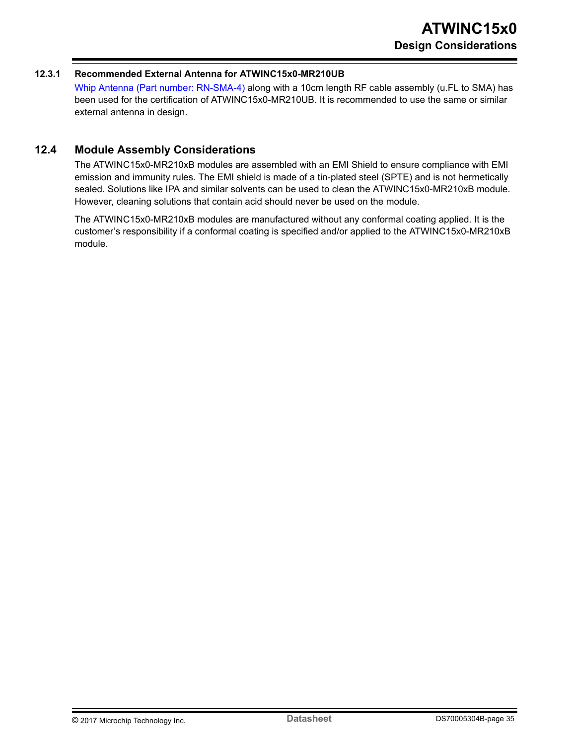#### <span id="page-34-0"></span>**12.3.1 Recommended External Antenna for ATWINC15x0-MR210UB**

[Whip Antenna \(Part number: RN-SMA-4\)](http://ww1.microchip.com/downloads/en/DeviceDoc/Acc-RN-SMA4-RP-DS.pdf) along with a 10cm length RF cable assembly (u.FL to SMA) has been used for the certification of ATWINC15x0-MR210UB. It is recommended to use the same or similar external antenna in design.

#### **12.4 Module Assembly Considerations**

The ATWINC15x0-MR210xB modules are assembled with an EMI Shield to ensure compliance with EMI emission and immunity rules. The EMI shield is made of a tin-plated steel (SPTE) and is not hermetically sealed. Solutions like IPA and similar solvents can be used to clean the ATWINC15x0-MR210xB module. However, cleaning solutions that contain acid should never be used on the module.

The ATWINC15x0-MR210xB modules are manufactured without any conformal coating applied. It is the customer's responsibility if a conformal coating is specified and/or applied to the ATWINC15x0-MR210xB module.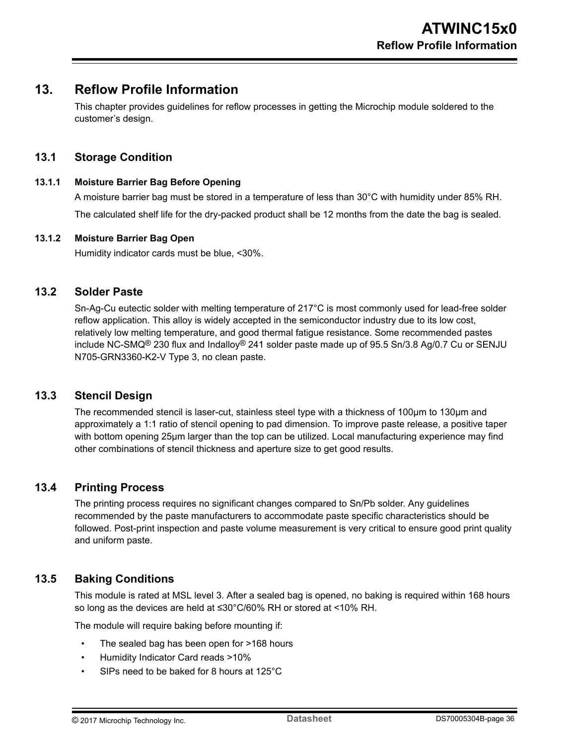## <span id="page-35-0"></span>**13. Reflow Profile Information**

This chapter provides guidelines for reflow processes in getting the Microchip module soldered to the customer's design.

### **13.1 Storage Condition**

#### **13.1.1 Moisture Barrier Bag Before Opening**

A moisture barrier bag must be stored in a temperature of less than 30°C with humidity under 85% RH. The calculated shelf life for the dry-packed product shall be 12 months from the date the bag is sealed.

#### **13.1.2 Moisture Barrier Bag Open**

Humidity indicator cards must be blue, <30%.

#### **13.2 Solder Paste**

Sn-Ag-Cu eutectic solder with melting temperature of 217°C is most commonly used for lead-free solder reflow application. This alloy is widely accepted in the semiconductor industry due to its low cost, relatively low melting temperature, and good thermal fatigue resistance. Some recommended pastes include NC-SMQ<sup>®</sup> 230 flux and Indalloy<sup>®</sup> 241 solder paste made up of 95.5 Sn/3.8 Ag/0.7 Cu or SENJU N705-GRN3360-K2-V Type 3, no clean paste.

#### **13.3 Stencil Design**

The recommended stencil is laser-cut, stainless steel type with a thickness of 100µm to 130µm and approximately a 1:1 ratio of stencil opening to pad dimension. To improve paste release, a positive taper with bottom opening 25µm larger than the top can be utilized. Local manufacturing experience may find other combinations of stencil thickness and aperture size to get good results.

### **13.4 Printing Process**

The printing process requires no significant changes compared to Sn/Pb solder. Any guidelines recommended by the paste manufacturers to accommodate paste specific characteristics should be followed. Post-print inspection and paste volume measurement is very critical to ensure good print quality and uniform paste.

### **13.5 Baking Conditions**

This module is rated at MSL level 3. After a sealed bag is opened, no baking is required within 168 hours so long as the devices are held at ≤30°C/60% RH or stored at <10% RH.

The module will require baking before mounting if:

- The sealed bag has been open for >168 hours
- Humidity Indicator Card reads >10%
- SIPs need to be baked for 8 hours at 125°C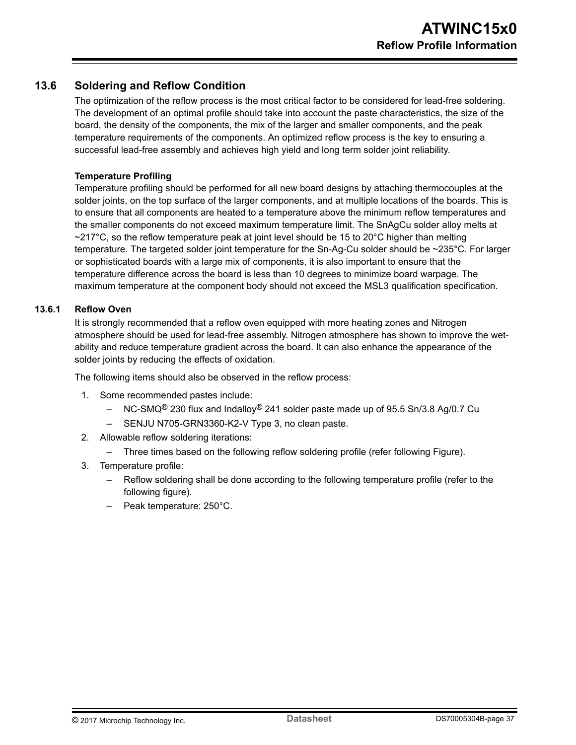### <span id="page-36-0"></span>**13.6 Soldering and Reflow Condition**

The optimization of the reflow process is the most critical factor to be considered for lead-free soldering. The development of an optimal profile should take into account the paste characteristics, the size of the board, the density of the components, the mix of the larger and smaller components, and the peak temperature requirements of the components. An optimized reflow process is the key to ensuring a successful lead-free assembly and achieves high yield and long term solder joint reliability.

#### **Temperature Profiling**

Temperature profiling should be performed for all new board designs by attaching thermocouples at the solder joints, on the top surface of the larger components, and at multiple locations of the boards. This is to ensure that all components are heated to a temperature above the minimum reflow temperatures and the smaller components do not exceed maximum temperature limit. The SnAgCu solder alloy melts at  $\sim$ 217°C, so the reflow temperature peak at joint level should be 15 to 20°C higher than melting temperature. The targeted solder joint temperature for the Sn-Ag-Cu solder should be ~235°C. For larger or sophisticated boards with a large mix of components, it is also important to ensure that the temperature difference across the board is less than 10 degrees to minimize board warpage. The maximum temperature at the component body should not exceed the MSL3 qualification specification.

#### **13.6.1 Reflow Oven**

It is strongly recommended that a reflow oven equipped with more heating zones and Nitrogen atmosphere should be used for lead-free assembly. Nitrogen atmosphere has shown to improve the wetability and reduce temperature gradient across the board. It can also enhance the appearance of the solder joints by reducing the effects of oxidation.

The following items should also be observed in the reflow process:

- 1. Some recommended pastes include:
	- $-$  NC-SMQ<sup>®</sup> 230 flux and Indalloy<sup>®</sup> 241 solder paste made up of 95.5 Sn/3.8 Ag/0.7 Cu
	- SENJU N705-GRN3360-K2-V Type 3, no clean paste.
- 2. Allowable reflow soldering iterations:
	- Three times based on the following reflow soldering profile (refer following Figure).
- 3. Temperature profile:
	- Reflow soldering shall be done according to the following temperature profile (refer to the following figure).
	- Peak temperature: 250°C.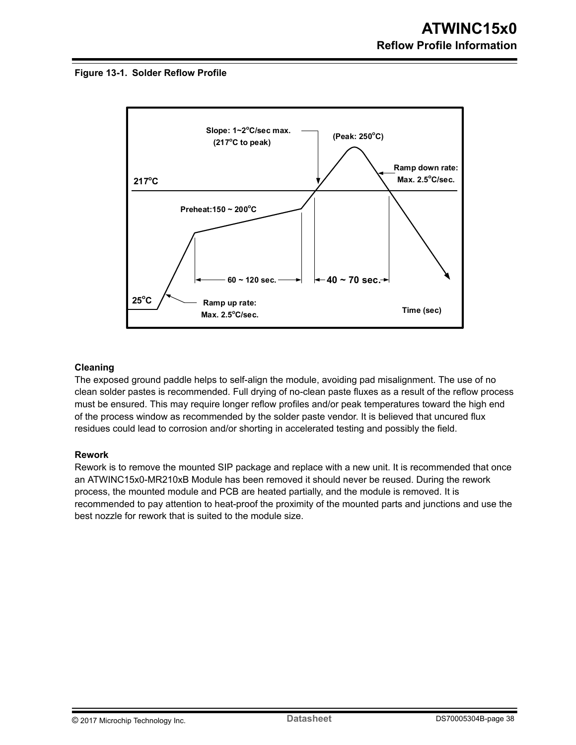#### **Figure 13-1. Solder Reflow Profile**



#### **Cleaning**

The exposed ground paddle helps to self-align the module, avoiding pad misalignment. The use of no clean solder pastes is recommended. Full drying of no-clean paste fluxes as a result of the reflow process must be ensured. This may require longer reflow profiles and/or peak temperatures toward the high end of the process window as recommended by the solder paste vendor. It is believed that uncured flux residues could lead to corrosion and/or shorting in accelerated testing and possibly the field.

#### **Rework**

Rework is to remove the mounted SIP package and replace with a new unit. It is recommended that once an ATWINC15x0-MR210xB Module has been removed it should never be reused. During the rework process, the mounted module and PCB are heated partially, and the module is removed. It is recommended to pay attention to heat-proof the proximity of the mounted parts and junctions and use the best nozzle for rework that is suited to the module size.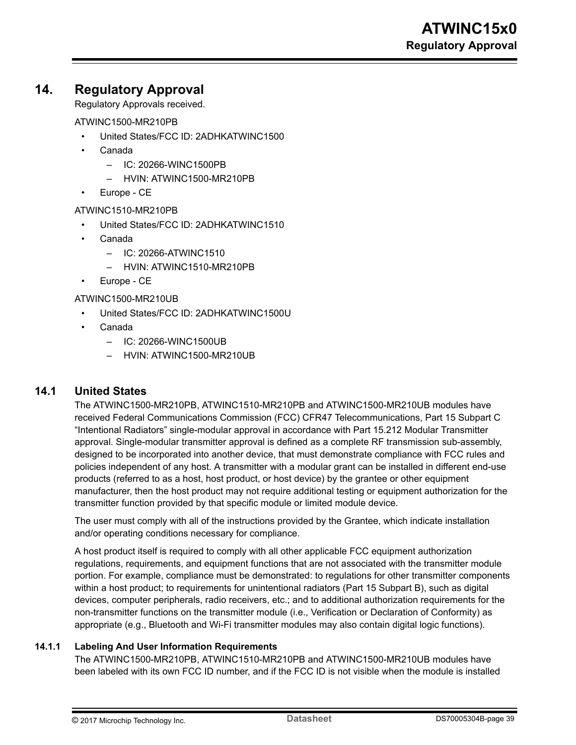## <span id="page-38-0"></span>**14. Regulatory Approval**

Regulatory Approvals received.

ATWINC1500-MR210PB

- United States/FCC ID: 2ADHKATWINC1500
- Canada
	- IC: 20266-WINC1500PB
	- HVIN: ATWINC1500-MR210PB
- Europe CE

ATWINC1510-MR210PB

- United States/FCC ID: 2ADHKATWINC1510
- Canada
	- IC: 20266-ATWINC1510
	- HVIN: ATWINC1510-MR210PB
- Europe CE

ATWINC1500-MR210UB

- United States/FCC ID: 2ADHKATWINC1500U
- Canada
	- IC: 20266-WINC1500UB
	- HVIN: ATWINC1500-MR210UB

### **14.1 United States**

The ATWINC1500-MR210PB, ATWINC1510-MR210PB and ATWINC1500-MR210UB modules have received Federal Communications Commission (FCC) CFR47 Telecommunications, Part 15 Subpart C "Intentional Radiators" single-modular approval in accordance with Part 15.212 Modular Transmitter approval. Single-modular transmitter approval is defined as a complete RF transmission sub-assembly, designed to be incorporated into another device, that must demonstrate compliance with FCC rules and policies independent of any host. A transmitter with a modular grant can be installed in different end-use products (referred to as a host, host product, or host device) by the grantee or other equipment manufacturer, then the host product may not require additional testing or equipment authorization for the transmitter function provided by that specific module or limited module device.

The user must comply with all of the instructions provided by the Grantee, which indicate installation and/or operating conditions necessary for compliance.

A host product itself is required to comply with all other applicable FCC equipment authorization regulations, requirements, and equipment functions that are not associated with the transmitter module portion. For example, compliance must be demonstrated: to regulations for other transmitter components within a host product; to requirements for unintentional radiators (Part 15 Subpart B), such as digital devices, computer peripherals, radio receivers, etc.; and to additional authorization requirements for the non-transmitter functions on the transmitter module (i.e., Verification or Declaration of Conformity) as appropriate (e.g., Bluetooth and Wi-Fi transmitter modules may also contain digital logic functions).

#### **14.1.1 Labeling And User Information Requirements**

The ATWINC1500-MR210PB, ATWINC1510-MR210PB and ATWINC1500-MR210UB modules have been labeled with its own FCC ID number, and if the FCC ID is not visible when the module is installed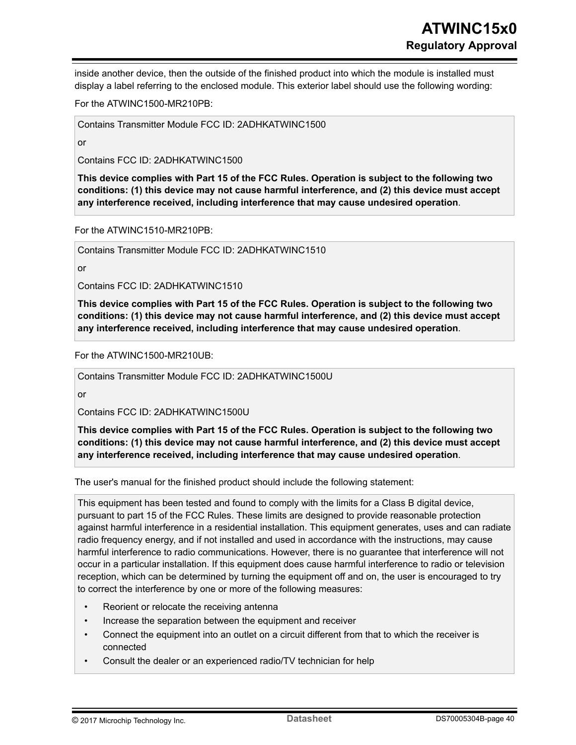inside another device, then the outside of the finished product into which the module is installed must display a label referring to the enclosed module. This exterior label should use the following wording:

For the ATWINC1500-MR210PB:

Contains Transmitter Module FCC ID: 2ADHKATWINC1500

or

Contains FCC ID: 2ADHKATWINC1500

**This device complies with Part 15 of the FCC Rules. Operation is subject to the following two conditions: (1) this device may not cause harmful interference, and (2) this device must accept any interference received, including interference that may cause undesired operation**.

For the ATWINC1510-MR210PB:

Contains Transmitter Module FCC ID: 2ADHKATWINC1510

or

Contains FCC ID: 2ADHKATWINC1510

**This device complies with Part 15 of the FCC Rules. Operation is subject to the following two conditions: (1) this device may not cause harmful interference, and (2) this device must accept any interference received, including interference that may cause undesired operation**.

For the ATWINC1500-MR210UB:

Contains Transmitter Module FCC ID: 2ADHKATWINC1500U

or

Contains FCC ID: 2ADHKATWINC1500U

**This device complies with Part 15 of the FCC Rules. Operation is subject to the following two conditions: (1) this device may not cause harmful interference, and (2) this device must accept any interference received, including interference that may cause undesired operation**.

The user's manual for the finished product should include the following statement:

This equipment has been tested and found to comply with the limits for a Class B digital device, pursuant to part 15 of the FCC Rules. These limits are designed to provide reasonable protection against harmful interference in a residential installation. This equipment generates, uses and can radiate radio frequency energy, and if not installed and used in accordance with the instructions, may cause harmful interference to radio communications. However, there is no guarantee that interference will not occur in a particular installation. If this equipment does cause harmful interference to radio or television reception, which can be determined by turning the equipment off and on, the user is encouraged to try to correct the interference by one or more of the following measures:

- Reorient or relocate the receiving antenna
- Increase the separation between the equipment and receiver
- Connect the equipment into an outlet on a circuit different from that to which the receiver is connected
- Consult the dealer or an experienced radio/TV technician for help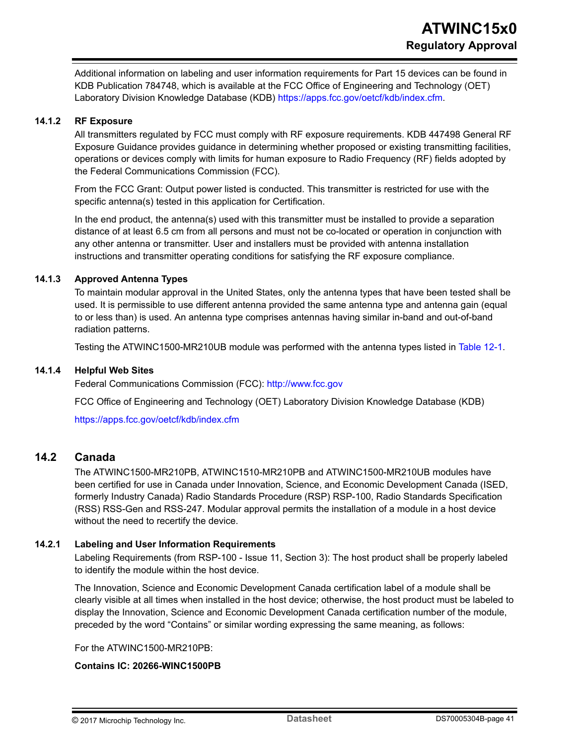<span id="page-40-0"></span>Additional information on labeling and user information requirements for Part 15 devices can be found in KDB Publication 784748, which is available at the FCC Office of Engineering and Technology (OET) Laboratory Division Knowledge Database (KDB) [https://apps.fcc.gov/oetcf/kdb/index.cfm.](https://apps.fcc.gov/oetcf/kdb/index.cfm)

#### **14.1.2 RF Exposure**

All transmitters regulated by FCC must comply with RF exposure requirements. KDB 447498 General RF Exposure Guidance provides guidance in determining whether proposed or existing transmitting facilities, operations or devices comply with limits for human exposure to Radio Frequency (RF) fields adopted by the Federal Communications Commission (FCC).

From the FCC Grant: Output power listed is conducted. This transmitter is restricted for use with the specific antenna(s) tested in this application for Certification.

In the end product, the antenna(s) used with this transmitter must be installed to provide a separation distance of at least 6.5 cm from all persons and must not be co-located or operation in conjunction with any other antenna or transmitter. User and installers must be provided with antenna installation instructions and transmitter operating conditions for satisfying the RF exposure compliance.

#### **14.1.3 Approved Antenna Types**

To maintain modular approval in the United States, only the antenna types that have been tested shall be used. It is permissible to use different antenna provided the same antenna type and antenna gain (equal to or less than) is used. An antenna type comprises antennas having similar in-band and out-of-band radiation patterns.

Testing the ATWINC1500-MR210UB module was performed with the antenna types listed in [Table 12-1](#page-33-0).

#### **14.1.4 Helpful Web Sites**

Federal Communications Commission (FCC): <http://www.fcc.gov>

FCC Office of Engineering and Technology (OET) Laboratory Division Knowledge Database (KDB)

<https://apps.fcc.gov/oetcf/kdb/index.cfm>

### **14.2 Canada**

The ATWINC1500-MR210PB, ATWINC1510-MR210PB and ATWINC1500-MR210UB modules have been certified for use in Canada under Innovation, Science, and Economic Development Canada (ISED, formerly Industry Canada) Radio Standards Procedure (RSP) RSP-100, Radio Standards Specification (RSS) RSS-Gen and RSS-247. Modular approval permits the installation of a module in a host device without the need to recertify the device.

#### **14.2.1 Labeling and User Information Requirements**

Labeling Requirements (from RSP-100 - Issue 11, Section 3): The host product shall be properly labeled to identify the module within the host device.

The Innovation, Science and Economic Development Canada certification label of a module shall be clearly visible at all times when installed in the host device; otherwise, the host product must be labeled to display the Innovation, Science and Economic Development Canada certification number of the module, preceded by the word "Contains" or similar wording expressing the same meaning, as follows:

For the ATWINC1500-MR210PB:

#### **Contains IC: 20266-WINC1500PB**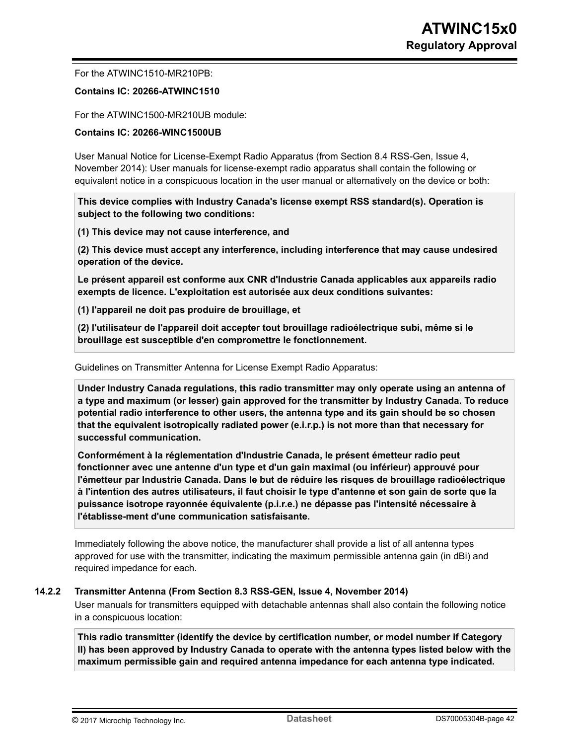For the ATWINC1510-MR210PB:

#### **Contains IC: 20266-ATWINC1510**

For the ATWINC1500-MR210UB module:

#### **Contains IC: 20266-WINC1500UB**

User Manual Notice for License-Exempt Radio Apparatus (from Section 8.4 RSS-Gen, Issue 4, November 2014): User manuals for license-exempt radio apparatus shall contain the following or equivalent notice in a conspicuous location in the user manual or alternatively on the device or both:

**This device complies with Industry Canada's license exempt RSS standard(s). Operation is subject to the following two conditions:**

**(1) This device may not cause interference, and**

**(2) This device must accept any interference, including interference that may cause undesired operation of the device.**

**Le présent appareil est conforme aux CNR d'Industrie Canada applicables aux appareils radio exempts de licence. L'exploitation est autorisée aux deux conditions suivantes:**

**(1) l'appareil ne doit pas produire de brouillage, et**

**(2) l'utilisateur de l'appareil doit accepter tout brouillage radioélectrique subi, même si le brouillage est susceptible d'en compromettre le fonctionnement.**

#### Guidelines on Transmitter Antenna for License Exempt Radio Apparatus:

**Under Industry Canada regulations, this radio transmitter may only operate using an antenna of a type and maximum (or lesser) gain approved for the transmitter by Industry Canada. To reduce potential radio interference to other users, the antenna type and its gain should be so chosen that the equivalent isotropically radiated power (e.i.r.p.) is not more than that necessary for successful communication.**

**Conformément à la réglementation d'Industrie Canada, le présent émetteur radio peut fonctionner avec une antenne d'un type et d'un gain maximal (ou inférieur) approuvé pour l'émetteur par Industrie Canada. Dans le but de réduire les risques de brouillage radioélectrique à l'intention des autres utilisateurs, il faut choisir le type d'antenne et son gain de sorte que la puissance isotrope rayonnée équivalente (p.i.r.e.) ne dépasse pas l'intensité nécessaire à l'établisse-ment d'une communication satisfaisante.**

Immediately following the above notice, the manufacturer shall provide a list of all antenna types approved for use with the transmitter, indicating the maximum permissible antenna gain (in dBi) and required impedance for each.

#### **14.2.2 Transmitter Antenna (From Section 8.3 RSS-GEN, Issue 4, November 2014)**

User manuals for transmitters equipped with detachable antennas shall also contain the following notice in a conspicuous location:

**This radio transmitter (identify the device by certification number, or model number if Category II) has been approved by Industry Canada to operate with the antenna types listed below with the maximum permissible gain and required antenna impedance for each antenna type indicated.**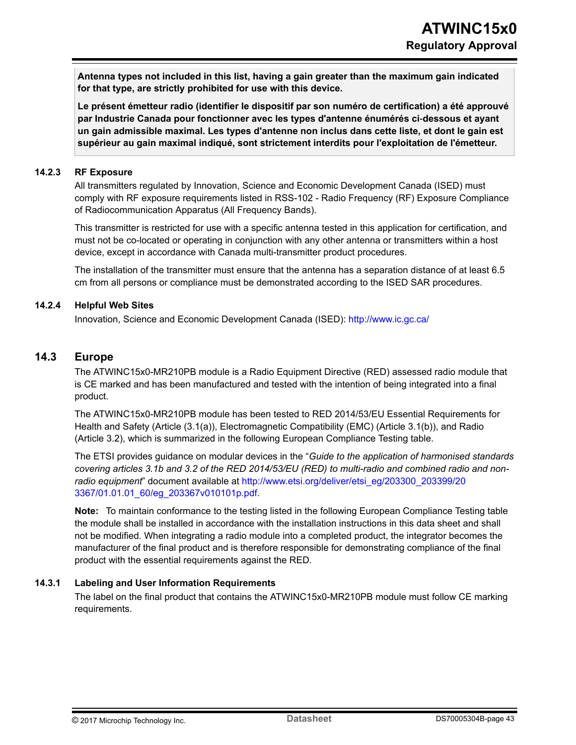<span id="page-42-0"></span>**Antenna types not included in this list, having a gain greater than the maximum gain indicated for that type, are strictly prohibited for use with this device.**

**Le présent émetteur radio (identifier le dispositif par son numéro de certification) a été approuvé par Industrie Canada pour fonctionner avec les types d'antenne énumérés ci**‑**dessous et ayant un gain admissible maximal. Les types d'antenne non inclus dans cette liste, et dont le gain est supérieur au gain maximal indiqué, sont strictement interdits pour l'exploitation de l'émetteur.**

#### **14.2.3 RF Exposure**

All transmitters regulated by Innovation, Science and Economic Development Canada (ISED) must comply with RF exposure requirements listed in RSS-102 - Radio Frequency (RF) Exposure Compliance of Radiocommunication Apparatus (All Frequency Bands).

This transmitter is restricted for use with a specific antenna tested in this application for certification, and must not be co-located or operating in conjunction with any other antenna or transmitters within a host device, except in accordance with Canada multi-transmitter product procedures.

The installation of the transmitter must ensure that the antenna has a separation distance of at least 6.5 cm from all persons or compliance must be demonstrated according to the ISED SAR procedures.

#### **14.2.4 Helpful Web Sites**

Innovation, Science and Economic Development Canada (ISED): <http://www.ic.gc.ca/>

### **14.3 Europe**

The ATWINC15x0-MR210PB module is a Radio Equipment Directive (RED) assessed radio module that is CE marked and has been manufactured and tested with the intention of being integrated into a final product.

The ATWINC15x0-MR210PB module has been tested to RED 2014/53/EU Essential Requirements for Health and Safety (Article (3.1(a)), Electromagnetic Compatibility (EMC) (Article 3.1(b)), and Radio (Article 3.2), which is summarized in the following European Compliance Testing table.

The ETSI provides guidance on modular devices in the "*Guide to the application of harmonised standards covering articles 3.1b and 3.2 of the RED 2014/53/EU (RED) to multi-radio and combined radio and nonradio equipment*" document available at [http://www.etsi.org/deliver/etsi\\_eg/203300\\_203399/20](http://www.etsi.org/deliver/etsi_eg/203300_203399/203367/01.01.01_60/eg_203367v010101p.pdf) [3367/01.01.01\\_60/eg\\_203367v010101p.pdf](http://www.etsi.org/deliver/etsi_eg/203300_203399/203367/01.01.01_60/eg_203367v010101p.pdf).

**Note:**  To maintain conformance to the testing listed in the following European Compliance Testing table the module shall be installed in accordance with the installation instructions in this data sheet and shall not be modified. When integrating a radio module into a completed product, the integrator becomes the manufacturer of the final product and is therefore responsible for demonstrating compliance of the final product with the essential requirements against the RED.

#### **14.3.1 Labeling and User Information Requirements**

The label on the final product that contains the ATWINC15x0-MR210PB module must follow CE marking requirements.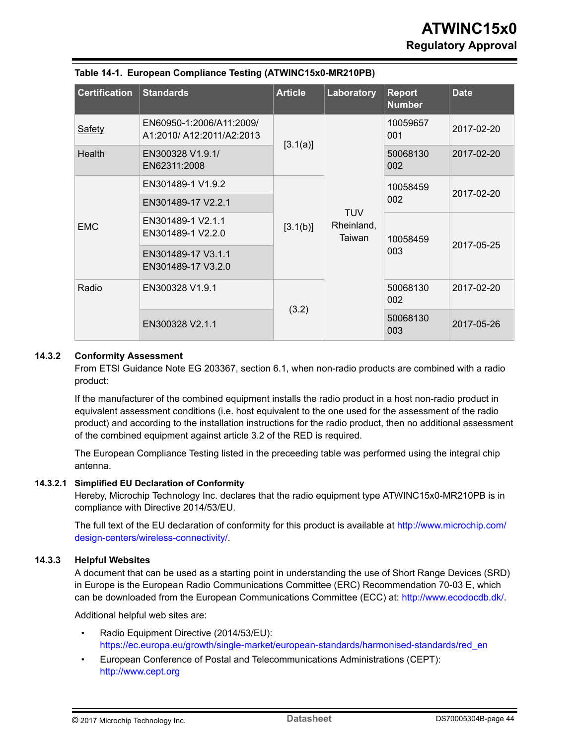| <b>Certification</b> | <b>Standards</b>                                      | <b>Article</b> | Laboratory                                  | <b>Report</b><br><b>Number</b> | <b>Date</b> |
|----------------------|-------------------------------------------------------|----------------|---------------------------------------------|--------------------------------|-------------|
| <b>Safety</b>        | EN60950-1:2006/A11:2009/<br>A1:2010/ A12:2011/A2:2013 | [3.1(a)]       | <b>TUV</b><br>Rheinland,<br>Taiwan<br>(3.2) | 10059657<br>001                | 2017-02-20  |
| <b>Health</b>        | EN300328 V1.9.1/<br>EN62311:2008                      |                |                                             | 50068130<br>002                | 2017-02-20  |
|                      | EN301489-1 V1.9.2                                     | [3.1(b)]       |                                             | 10058459                       | 2017-02-20  |
| <b>EMC</b>           | EN301489-17 V2.2.1                                    |                |                                             | 002                            |             |
|                      | EN301489-1 V2.1.1<br>EN301489-1 V2.2.0                |                |                                             | 10058459<br>003                | 2017-05-25  |
|                      | EN301489-17 V3.1.1<br>EN301489-17 V3.2.0              |                |                                             |                                |             |
| Radio                | EN300328 V1.9.1                                       |                |                                             | 50068130<br>002                | 2017-02-20  |
|                      | EN300328 V2.1.1                                       |                |                                             | 50068130<br>003                | 2017-05-26  |

#### **Table 14-1. European Compliance Testing (ATWINC15x0-MR210PB)**

#### **14.3.2 Conformity Assessment**

From ETSI Guidance Note EG 203367, section 6.1, when non-radio products are combined with a radio product:

If the manufacturer of the combined equipment installs the radio product in a host non-radio product in equivalent assessment conditions (i.e. host equivalent to the one used for the assessment of the radio product) and according to the installation instructions for the radio product, then no additional assessment of the combined equipment against article 3.2 of the RED is required.

The European Compliance Testing listed in the preceeding table was performed using the integral chip antenna.

#### **14.3.2.1 Simplified EU Declaration of Conformity**

Hereby, Microchip Technology Inc. declares that the radio equipment type ATWINC15x0-MR210PB is in compliance with Directive 2014/53/EU.

The full text of the EU declaration of conformity for this product is available at [http://www.microchip.com/](http://www.microchip.com/design-centers/wireless-connectivity/) [design-centers/wireless-connectivity/](http://www.microchip.com/design-centers/wireless-connectivity/).

#### **14.3.3 Helpful Websites**

A document that can be used as a starting point in understanding the use of Short Range Devices (SRD) in Europe is the European Radio Communications Committee (ERC) Recommendation 70-03 E, which can be downloaded from the European Communications Committee (ECC) at: [http://www.ecodocdb.dk/.](http://www.ecodocdb.dk/)

Additional helpful web sites are:

- Radio Equipment Directive (2014/53/EU): [https://ec.europa.eu/growth/single-market/european-standards/harmonised-standards/red\\_en](https://ec.europa.eu/growth/single-market/european-standards/harmonised-standards/red_en)
- European Conference of Postal and Telecommunications Administrations (CEPT): [http://www.cept.org](https://cept.org/)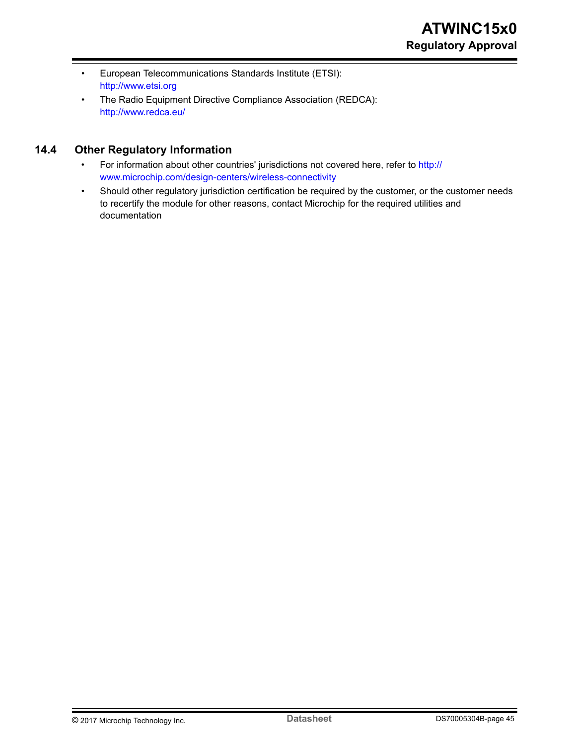- <span id="page-44-0"></span>• European Telecommunications Standards Institute (ETSI): [http://www.etsi.org](http://www.etsi.org/)
- The Radio Equipment Directive Compliance Association (REDCA): <http://www.redca.eu/>

### **14.4 Other Regulatory Information**

- For information about other countries' jurisdictions not covered here, refer to [http://](http://www.microchip.com/design-centers/wireless-connectivity) [www.microchip.com/design-centers/wireless-connectivity](http://www.microchip.com/design-centers/wireless-connectivity)
- Should other regulatory jurisdiction certification be required by the customer, or the customer needs to recertify the module for other reasons, contact Microchip for the required utilities and documentation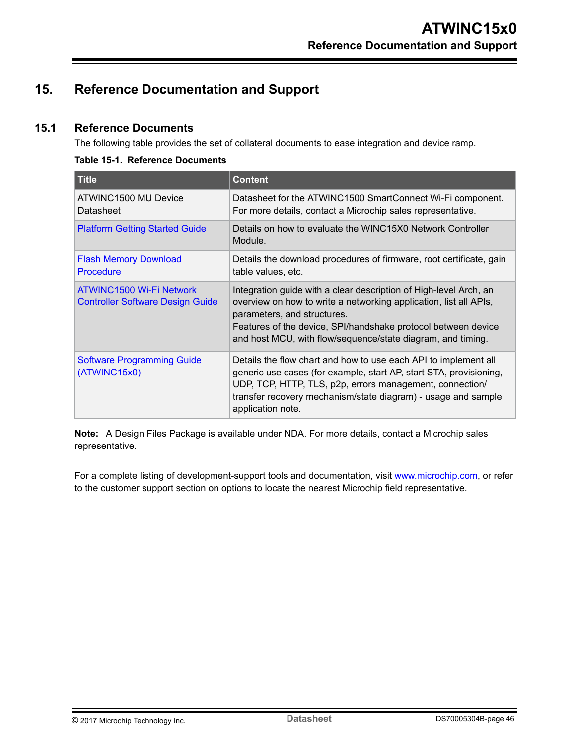## <span id="page-45-0"></span>**15. Reference Documentation and Support**

### **15.1 Reference Documents**

The following table provides the set of collateral documents to ease integration and device ramp.

#### **Table 15-1. Reference Documents**

| <b>Title</b>                                                        | <b>Content</b>                                                                                                                                                                                                                                                                                        |
|---------------------------------------------------------------------|-------------------------------------------------------------------------------------------------------------------------------------------------------------------------------------------------------------------------------------------------------------------------------------------------------|
| ATWINC1500 MU Device<br>Datasheet                                   | Datasheet for the ATWINC1500 SmartConnect Wi-Fi component.<br>For more details, contact a Microchip sales representative.                                                                                                                                                                             |
| <b>Platform Getting Started Guide</b>                               | Details on how to evaluate the WINC15X0 Network Controller<br>Module.                                                                                                                                                                                                                                 |
| <b>Flash Memory Download</b><br><b>Procedure</b>                    | Details the download procedures of firmware, root certificate, gain<br>table values, etc.                                                                                                                                                                                                             |
| ATWINC1500 Wi-Fi Network<br><b>Controller Software Design Guide</b> | Integration guide with a clear description of High-level Arch, an<br>overview on how to write a networking application, list all APIs,<br>parameters, and structures.<br>Features of the device, SPI/handshake protocol between device<br>and host MCU, with flow/sequence/state diagram, and timing. |
| <b>Software Programming Guide</b><br>(ATWINC15x0)                   | Details the flow chart and how to use each API to implement all<br>generic use cases (for example, start AP, start STA, provisioning,<br>UDP, TCP, HTTP, TLS, p2p, errors management, connection/<br>transfer recovery mechanism/state diagram) - usage and sample<br>application note.               |

**Note:**  A Design Files Package is available under NDA. For more details, contact a Microchip sales representative.

For a complete listing of development-support tools and documentation, visit [www.microchip.com,](http://www.microchip.com) or refer to the customer support section on options to locate the nearest Microchip field representative.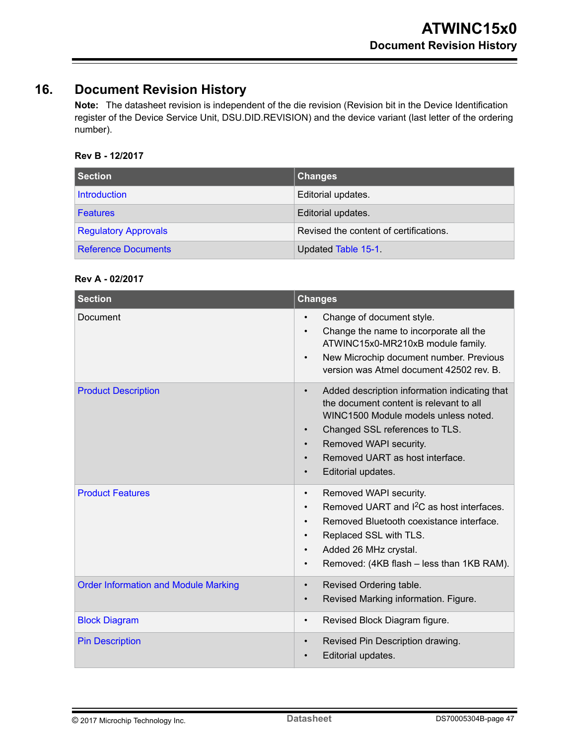## <span id="page-46-0"></span>**16. Document Revision History**

**Note:**  The datasheet revision is independent of the die revision (Revision bit in the Device Identification register of the Device Service Unit, DSU.DID.REVISION) and the device variant (last letter of the ordering number).

### **Rev B - 12/2017**

| Section                     | <b>Changes</b>                         |
|-----------------------------|----------------------------------------|
| Introduction                | Editorial updates.                     |
| <b>Features</b>             | Editorial updates.                     |
| <b>Regulatory Approvals</b> | Revised the content of certifications. |
| <b>Reference Documents</b>  | Updated Table 15-1                     |

#### **Rev A - 02/2017**

| <b>Section</b>                              | <b>Changes</b>                                                                                                                                                                                                                                                                                                         |
|---------------------------------------------|------------------------------------------------------------------------------------------------------------------------------------------------------------------------------------------------------------------------------------------------------------------------------------------------------------------------|
| Document                                    | Change of document style.<br>$\bullet$<br>Change the name to incorporate all the<br>$\bullet$<br>ATWINC15x0-MR210xB module family.<br>New Microchip document number. Previous<br>$\bullet$<br>version was Atmel document 42502 rev. B.                                                                                 |
| <b>Product Description</b>                  | Added description information indicating that<br>$\bullet$<br>the document content is relevant to all<br>WINC1500 Module models unless noted.<br>Changed SSL references to TLS.<br>$\bullet$<br>Removed WAPI security.<br>$\bullet$<br>Removed UART as host interface.<br>$\bullet$<br>Editorial updates.<br>$\bullet$ |
| <b>Product Features</b>                     | Removed WAPI security.<br>$\bullet$<br>Removed UART and <sup>2</sup> C as host interfaces.<br>$\bullet$<br>Removed Bluetooth coexistance interface.<br>$\bullet$<br>Replaced SSL with TLS.<br>$\bullet$<br>Added 26 MHz crystal.<br>$\bullet$<br>Removed: (4KB flash - less than 1KB RAM).<br>$\bullet$                |
| <b>Order Information and Module Marking</b> | Revised Ordering table.<br>$\bullet$<br>Revised Marking information. Figure.<br>$\bullet$                                                                                                                                                                                                                              |
| <b>Block Diagram</b>                        | Revised Block Diagram figure.<br>$\bullet$                                                                                                                                                                                                                                                                             |
| <b>Pin Description</b>                      | Revised Pin Description drawing.<br>$\bullet$<br>Editorial updates.<br>$\bullet$                                                                                                                                                                                                                                       |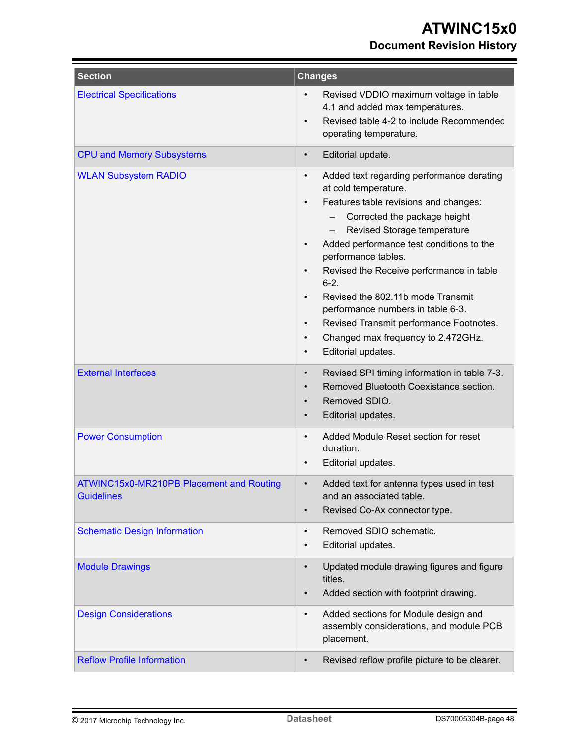| <b>Section</b>                                                | <b>Changes</b>                                                                                                                                                                                                                                                                                                                                                                                                                                                                                                            |
|---------------------------------------------------------------|---------------------------------------------------------------------------------------------------------------------------------------------------------------------------------------------------------------------------------------------------------------------------------------------------------------------------------------------------------------------------------------------------------------------------------------------------------------------------------------------------------------------------|
| <b>Electrical Specifications</b>                              | Revised VDDIO maximum voltage in table<br>$\bullet$<br>4.1 and added max temperatures.<br>Revised table 4-2 to include Recommended<br>$\bullet$<br>operating temperature.                                                                                                                                                                                                                                                                                                                                                 |
| <b>CPU and Memory Subsystems</b>                              | Editorial update.<br>$\bullet$                                                                                                                                                                                                                                                                                                                                                                                                                                                                                            |
| <b>WLAN Subsystem RADIO</b>                                   | Added text regarding performance derating<br>$\bullet$<br>at cold temperature.<br>Features table revisions and changes:<br>٠<br>Corrected the package height<br>Revised Storage temperature<br>Added performance test conditions to the<br>performance tables.<br>Revised the Receive performance in table<br>$6 - 2.$<br>Revised the 802.11b mode Transmit<br>performance numbers in table 6-3.<br>Revised Transmit performance Footnotes.<br>Changed max frequency to 2.472GHz.<br>٠<br>Editorial updates.<br>$\bullet$ |
| <b>External Interfaces</b>                                    | Revised SPI timing information in table 7-3.<br>٠<br>Removed Bluetooth Coexistance section.<br>$\bullet$<br>Removed SDIO.<br>$\bullet$<br>Editorial updates.<br>$\bullet$                                                                                                                                                                                                                                                                                                                                                 |
| <b>Power Consumption</b>                                      | Added Module Reset section for reset<br>$\bullet$<br>duration.<br>Editorial updates.                                                                                                                                                                                                                                                                                                                                                                                                                                      |
| ATWINC15x0-MR210PB Placement and Routing<br><b>Guidelines</b> | Added text for antenna types used in test<br>and an associated table.<br>Revised Co-Ax connector type.<br>$\bullet$                                                                                                                                                                                                                                                                                                                                                                                                       |
| <b>Schematic Design Information</b>                           | Removed SDIO schematic.<br>$\bullet$<br>Editorial updates.<br>$\bullet$                                                                                                                                                                                                                                                                                                                                                                                                                                                   |
| <b>Module Drawings</b>                                        | Updated module drawing figures and figure<br>$\bullet$<br>titles.<br>Added section with footprint drawing.                                                                                                                                                                                                                                                                                                                                                                                                                |
| <b>Design Considerations</b>                                  | Added sections for Module design and<br>$\bullet$<br>assembly considerations, and module PCB<br>placement.                                                                                                                                                                                                                                                                                                                                                                                                                |
| <b>Reflow Profile Information</b>                             | Revised reflow profile picture to be clearer.<br>$\bullet$                                                                                                                                                                                                                                                                                                                                                                                                                                                                |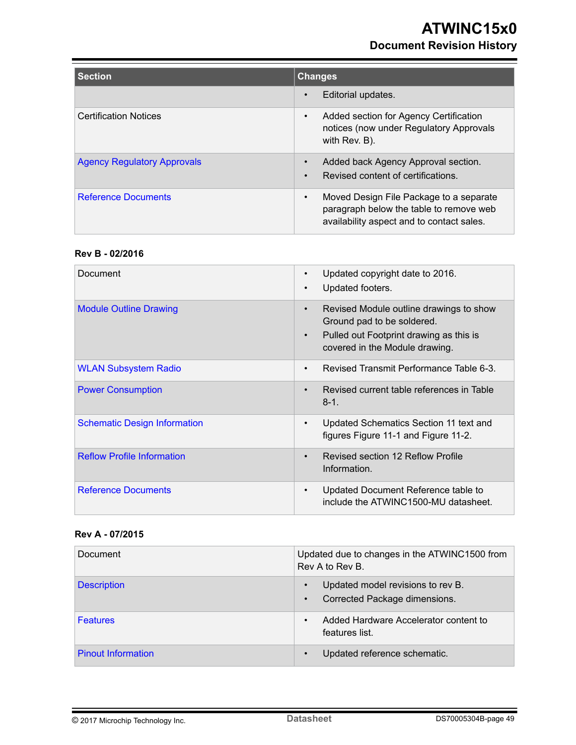| <b>Section</b>                     | <b>Changes</b>                                                                                                                               |  |  |
|------------------------------------|----------------------------------------------------------------------------------------------------------------------------------------------|--|--|
|                                    | Editorial updates.<br>$\bullet$                                                                                                              |  |  |
| <b>Certification Notices</b>       | Added section for Agency Certification<br>$\bullet$<br>notices (now under Regulatory Approvals<br>with Rev. B).                              |  |  |
| <b>Agency Regulatory Approvals</b> | Added back Agency Approval section.<br>$\bullet$<br>Revised content of certifications.<br>$\bullet$                                          |  |  |
| <b>Reference Documents</b>         | Moved Design File Package to a separate<br>$\bullet$<br>paragraph below the table to remove web<br>availability aspect and to contact sales. |  |  |

#### **Rev B - 02/2016**

| Document                            | Updated copyright date to 2016.<br>$\bullet$<br>Updated footers.<br>$\bullet$                                                                                                |
|-------------------------------------|------------------------------------------------------------------------------------------------------------------------------------------------------------------------------|
| <b>Module Outline Drawing</b>       | Revised Module outline drawings to show<br>$\bullet$<br>Ground pad to be soldered.<br>Pulled out Footprint drawing as this is<br>$\bullet$<br>covered in the Module drawing. |
| <b>WLAN Subsystem Radio</b>         | Revised Transmit Performance Table 6-3.<br>$\bullet$                                                                                                                         |
| <b>Power Consumption</b>            | Revised current table references in Table<br>$\bullet$<br>$8 - 1$ .                                                                                                          |
| <b>Schematic Design Information</b> | Updated Schematics Section 11 text and<br>$\bullet$<br>figures Figure 11-1 and Figure 11-2.                                                                                  |
| <b>Reflow Profile Information</b>   | Revised section 12 Reflow Profile<br>$\bullet$<br>Information.                                                                                                               |
| <b>Reference Documents</b>          | Updated Document Reference table to<br>$\bullet$<br>include the ATWINC1500-MU datasheet.                                                                                     |

### **Rev A - 07/2015**

| Document                  | Updated due to changes in the ATWINC1500 from<br>Rev A to Rev B.                             |
|---------------------------|----------------------------------------------------------------------------------------------|
| <b>Description</b>        | Updated model revisions to rev B.<br>$\bullet$<br>Corrected Package dimensions.<br>$\bullet$ |
| <b>Features</b>           | Added Hardware Accelerator content to<br>٠<br>features list.                                 |
| <b>Pinout Information</b> | Updated reference schematic.<br>$\bullet$                                                    |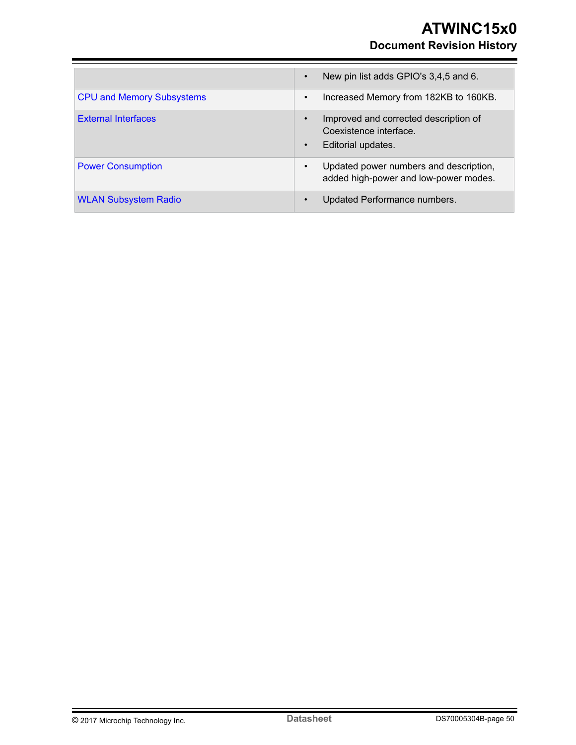## **ATWINC15x0 Document Revision History**

|                                  | New pin list adds GPIO's 3,4,5 and 6.<br>$\bullet$                                                              |
|----------------------------------|-----------------------------------------------------------------------------------------------------------------|
| <b>CPU and Memory Subsystems</b> | Increased Memory from 182KB to 160KB.<br>$\bullet$                                                              |
| <b>External Interfaces</b>       | Improved and corrected description of<br>$\bullet$<br>Coexistence interface.<br>Editorial updates.<br>$\bullet$ |
| <b>Power Consumption</b>         | Updated power numbers and description,<br>$\bullet$<br>added high-power and low-power modes.                    |
| <b>WLAN Subsystem Radio</b>      | Updated Performance numbers.<br>$\bullet$                                                                       |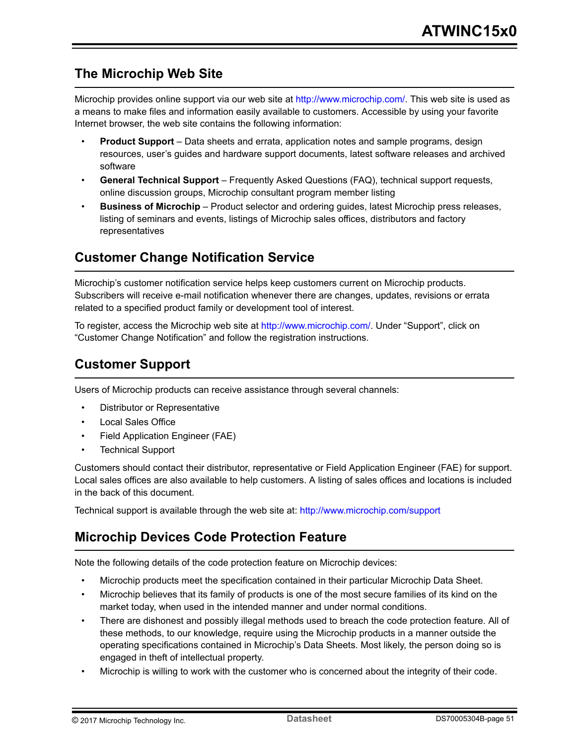## <span id="page-50-0"></span>**The Microchip Web Site**

Microchip provides online support via our web site at [http://www.microchip.com/.](http://www.microchip.com/) This web site is used as a means to make files and information easily available to customers. Accessible by using your favorite Internet browser, the web site contains the following information:

- **Product Support** Data sheets and errata, application notes and sample programs, design resources, user's guides and hardware support documents, latest software releases and archived software
- **General Technical Support** Frequently Asked Questions (FAQ), technical support requests, online discussion groups, Microchip consultant program member listing
- **Business of Microchip** Product selector and ordering guides, latest Microchip press releases, listing of seminars and events, listings of Microchip sales offices, distributors and factory representatives

## **Customer Change Notification Service**

Microchip's customer notification service helps keep customers current on Microchip products. Subscribers will receive e-mail notification whenever there are changes, updates, revisions or errata related to a specified product family or development tool of interest.

To register, access the Microchip web site at [http://www.microchip.com/.](http://www.microchip.com/) Under "Support", click on "Customer Change Notification" and follow the registration instructions.

## **Customer Support**

Users of Microchip products can receive assistance through several channels:

- Distributor or Representative
- Local Sales Office
- Field Application Engineer (FAE)
- **Technical Support**

Customers should contact their distributor, representative or Field Application Engineer (FAE) for support. Local sales offices are also available to help customers. A listing of sales offices and locations is included in the back of this document.

Technical support is available through the web site at: <http://www.microchip.com/support>

## **Microchip Devices Code Protection Feature**

Note the following details of the code protection feature on Microchip devices:

- Microchip products meet the specification contained in their particular Microchip Data Sheet.
- Microchip believes that its family of products is one of the most secure families of its kind on the market today, when used in the intended manner and under normal conditions.
- There are dishonest and possibly illegal methods used to breach the code protection feature. All of these methods, to our knowledge, require using the Microchip products in a manner outside the operating specifications contained in Microchip's Data Sheets. Most likely, the person doing so is engaged in theft of intellectual property.
- Microchip is willing to work with the customer who is concerned about the integrity of their code.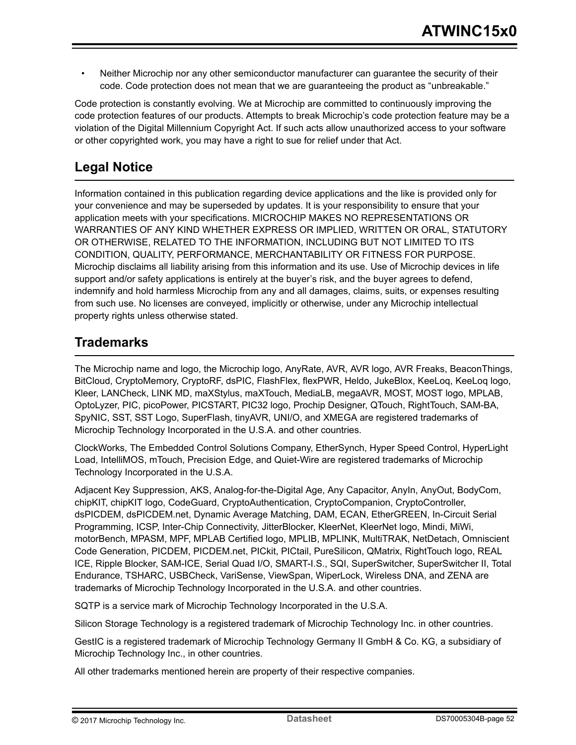<span id="page-51-0"></span>• Neither Microchip nor any other semiconductor manufacturer can guarantee the security of their code. Code protection does not mean that we are guaranteeing the product as "unbreakable."

Code protection is constantly evolving. We at Microchip are committed to continuously improving the code protection features of our products. Attempts to break Microchip's code protection feature may be a violation of the Digital Millennium Copyright Act. If such acts allow unauthorized access to your software or other copyrighted work, you may have a right to sue for relief under that Act.

## **Legal Notice**

Information contained in this publication regarding device applications and the like is provided only for your convenience and may be superseded by updates. It is your responsibility to ensure that your application meets with your specifications. MICROCHIP MAKES NO REPRESENTATIONS OR WARRANTIES OF ANY KIND WHETHER EXPRESS OR IMPLIED, WRITTEN OR ORAL, STATUTORY OR OTHERWISE, RELATED TO THE INFORMATION, INCLUDING BUT NOT LIMITED TO ITS CONDITION, QUALITY, PERFORMANCE, MERCHANTABILITY OR FITNESS FOR PURPOSE. Microchip disclaims all liability arising from this information and its use. Use of Microchip devices in life support and/or safety applications is entirely at the buyer's risk, and the buyer agrees to defend, indemnify and hold harmless Microchip from any and all damages, claims, suits, or expenses resulting from such use. No licenses are conveyed, implicitly or otherwise, under any Microchip intellectual property rights unless otherwise stated.

## **Trademarks**

The Microchip name and logo, the Microchip logo, AnyRate, AVR, AVR logo, AVR Freaks, BeaconThings, BitCloud, CryptoMemory, CryptoRF, dsPIC, FlashFlex, flexPWR, Heldo, JukeBlox, KeeLoq, KeeLoq logo, Kleer, LANCheck, LINK MD, maXStylus, maXTouch, MediaLB, megaAVR, MOST, MOST logo, MPLAB, OptoLyzer, PIC, picoPower, PICSTART, PIC32 logo, Prochip Designer, QTouch, RightTouch, SAM-BA, SpyNIC, SST, SST Logo, SuperFlash, tinyAVR, UNI/O, and XMEGA are registered trademarks of Microchip Technology Incorporated in the U.S.A. and other countries.

ClockWorks, The Embedded Control Solutions Company, EtherSynch, Hyper Speed Control, HyperLight Load, IntelliMOS, mTouch, Precision Edge, and Quiet-Wire are registered trademarks of Microchip Technology Incorporated in the U.S.A.

Adjacent Key Suppression, AKS, Analog-for-the-Digital Age, Any Capacitor, AnyIn, AnyOut, BodyCom, chipKIT, chipKIT logo, CodeGuard, CryptoAuthentication, CryptoCompanion, CryptoController, dsPICDEM, dsPICDEM.net, Dynamic Average Matching, DAM, ECAN, EtherGREEN, In-Circuit Serial Programming, ICSP, Inter-Chip Connectivity, JitterBlocker, KleerNet, KleerNet logo, Mindi, MiWi, motorBench, MPASM, MPF, MPLAB Certified logo, MPLIB, MPLINK, MultiTRAK, NetDetach, Omniscient Code Generation, PICDEM, PICDEM.net, PICkit, PICtail, PureSilicon, QMatrix, RightTouch logo, REAL ICE, Ripple Blocker, SAM-ICE, Serial Quad I/O, SMART-I.S., SQI, SuperSwitcher, SuperSwitcher II, Total Endurance, TSHARC, USBCheck, VariSense, ViewSpan, WiperLock, Wireless DNA, and ZENA are trademarks of Microchip Technology Incorporated in the U.S.A. and other countries.

SQTP is a service mark of Microchip Technology Incorporated in the U.S.A.

Silicon Storage Technology is a registered trademark of Microchip Technology Inc. in other countries.

GestIC is a registered trademark of Microchip Technology Germany II GmbH & Co. KG, a subsidiary of Microchip Technology Inc., in other countries.

All other trademarks mentioned herein are property of their respective companies.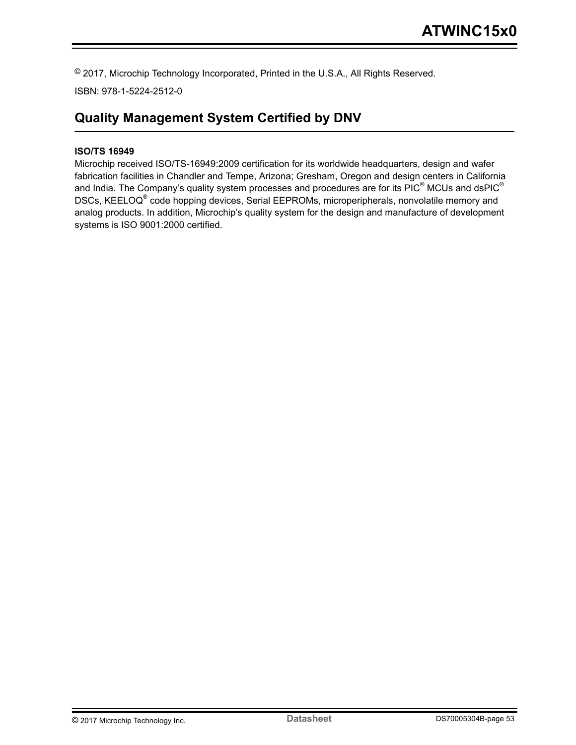<span id="page-52-0"></span>© 2017, Microchip Technology Incorporated, Printed in the U.S.A., All Rights Reserved.

ISBN: 978-1-5224-2512-0

## **Quality Management System Certified by DNV**

#### **ISO/TS 16949**

Microchip received ISO/TS-16949:2009 certification for its worldwide headquarters, design and wafer fabrication facilities in Chandler and Tempe, Arizona; Gresham, Oregon and design centers in California and India. The Company's quality system processes and procedures are for its PIC $^{\circ}$  MCUs and dsPIC $^{\circ}$ DSCs, KEELOQ<sup>®</sup> code hopping devices, Serial EEPROMs, microperipherals, nonvolatile memory and analog products. In addition, Microchip's quality system for the design and manufacture of development systems is ISO 9001:2000 certified.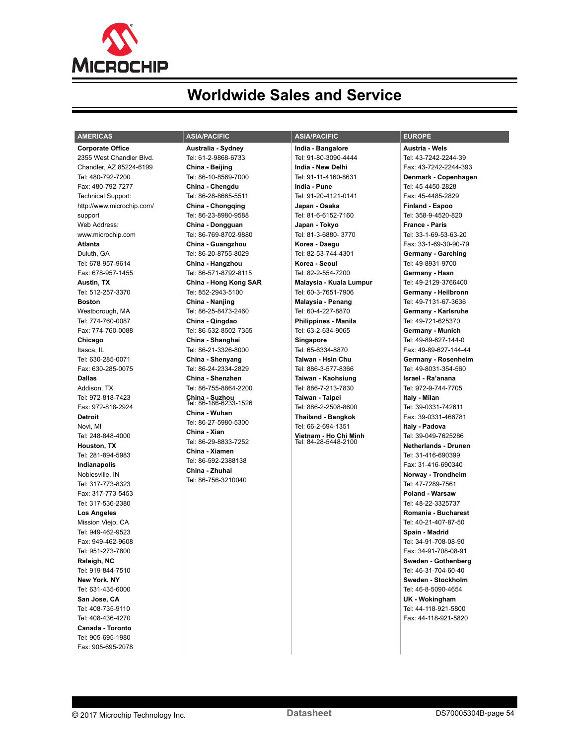<span id="page-53-0"></span>

# **Worldwide Sales and Service**

| <b>AMERICAS</b>           | <b>ASIA/PACIFIC</b>                     | <b>ASIA/PACIFIC</b>                           | <b>EUROPE</b>               |
|---------------------------|-----------------------------------------|-----------------------------------------------|-----------------------------|
| <b>Corporate Office</b>   | Australia - Sydney                      | India - Bangalore                             | Austria - Wels              |
| 2355 West Chandler Blvd.  | Tel: 61-2-9868-6733                     | Tel: 91-80-3090-4444                          | Tel: 43-7242-2244-39        |
| Chandler, AZ 85224-6199   | China - Beijing                         | India - New Delhi                             | Fax: 43-7242-2244-393       |
| Tel: 480-792-7200         | Tel: 86-10-8569-7000                    | Tel: 91-11-4160-8631                          | Denmark - Copenhagen        |
| Fax: 480-792-7277         | China - Chenadu                         | India - Pune                                  | Tel: 45-4450-2828           |
| <b>Technical Support:</b> | Tel: 86-28-8665-5511                    | Tel: 91-20-4121-0141                          | Fax: 45-4485-2829           |
| http://www.microchip.com/ | China - Chongqing                       | Japan - Osaka                                 | Finland - Espoo             |
| support                   | Tel: 86-23-8980-9588                    | Tel: 81-6-6152-7160                           | Tel: 358-9-4520-820         |
| Web Address:              | China - Dongguan                        | Japan - Tokyo                                 | <b>France - Paris</b>       |
| www.microchip.com         | Tel: 86-769-8702-9880                   | Tel: 81-3-6880-3770                           | Tel: 33-1-69-53-63-20       |
| <b>Atlanta</b>            | China - Guangzhou                       | Korea - Daegu                                 | Fax: 33-1-69-30-90-79       |
| Duluth, GA                | Tel: 86-20-8755-8029                    | Tel: 82-53-744-4301                           | Germany - Garching          |
| Tel: 678-957-9614         | China - Hangzhou                        | Korea - Seoul                                 | Tel: 49-8931-9700           |
| Fax: 678-957-1455         | Tel: 86-571-8792-8115                   | Tel: 82-2-554-7200                            | Germany - Haan              |
| Austin, TX                | China - Hong Kong SAR                   | Malaysia - Kuala Lumpur                       | Tel: 49-2129-3766400        |
| Tel: 512-257-3370         | Tel: 852-2943-5100                      | Tel: 60-3-7651-7906                           | Germany - Heilbronn         |
| <b>Boston</b>             | China - Nanjing                         | Malaysia - Penang                             | Tel: 49-7131-67-3636        |
| Westborough, MA           | Tel: 86-25-8473-2460                    | Tel: 60-4-227-8870                            | Germany - Karlsruhe         |
| Tel: 774-760-0087         | China - Qingdao                         | <b>Philippines - Manila</b>                   | Tel: 49-721-625370          |
| Fax: 774-760-0088         | Tel: 86-532-8502-7355                   | Tel: 63-2-634-9065                            | Germany - Munich            |
| Chicago                   | China - Shanghai                        | Singapore                                     | Tel: 49-89-627-144-0        |
| Itasca, IL                | Tel: 86-21-3326-8000                    | Tel: 65-6334-8870                             | Fax: 49-89-627-144-44       |
| Tel: 630-285-0071         | China - Shenyang                        | Taiwan - Hsin Chu                             | Germany - Rosenheim         |
| Fax: 630-285-0075         | Tel: 86-24-2334-2829                    | Tel: 886-3-577-8366                           | Tel: 49-8031-354-560        |
| <b>Dallas</b>             | China - Shenzhen                        | Taiwan - Kaohsiung                            | Israel - Ra'anana           |
| Addison, TX               | Tel: 86-755-8864-2200                   | Tel: 886-7-213-7830                           | Tel: 972-9-744-7705         |
| Tel: 972-818-7423         | China - Suzhou<br>Tel: 86-186-6233-1526 | Taiwan - Taipei                               | Italy - Milan               |
| Fax: 972-818-2924         |                                         | Tel: 886-2-2508-8600                          | Tel: 39-0331-742611         |
| <b>Detroit</b>            | China - Wuhan                           | <b>Thailand - Bangkok</b>                     | Fax: 39-0331-466781         |
| Novi, MI                  | Tel: 86-27-5980-5300                    | Tel: 66-2-694-1351                            | Italy - Padova              |
| Tel: 248-848-4000         | China - Xian                            | Vietnam - Ho Chi Minh<br>Tel: 84-28-5448-2100 | Tel: 39-049-7625286         |
| Houston, TX               | Tel: 86-29-8833-7252                    |                                               | <b>Netherlands - Drunen</b> |
| Tel: 281-894-5983         | China - Xiamen<br>Tel: 86-592-2388138   |                                               | Tel: 31-416-690399          |
| Indianapolis              |                                         |                                               | Fax: 31-416-690340          |
| Noblesville, IN           | China - Zhuhai<br>Tel: 86-756-3210040   |                                               | Norway - Trondheim          |
| Tel: 317-773-8323         |                                         |                                               | Tel: 47-7289-7561           |
| Fax: 317-773-5453         |                                         |                                               | Poland - Warsaw             |
| Tel: 317-536-2380         |                                         |                                               | Tel: 48-22-3325737          |
| <b>Los Angeles</b>        |                                         |                                               | Romania - Bucharest         |
| Mission Viejo, CA         |                                         |                                               | Tel: 40-21-407-87-50        |
| Tel: 949-462-9523         |                                         |                                               | Spain - Madrid              |
| Fax: 949-462-9608         |                                         |                                               | Tel: 34-91-708-08-90        |
| Tel: 951-273-7800         |                                         |                                               | Fax: 34-91-708-08-91        |
| Raleigh, NC               |                                         |                                               | Sweden - Gothenberg         |
| Tel: 919-844-7510         |                                         |                                               | Tel: 46-31-704-60-40        |
| New York, NY              |                                         |                                               | Sweden - Stockholm          |
| Tel: 631-435-6000         |                                         |                                               | Tel: 46-8-5090-4654         |
| San Jose, CA              |                                         |                                               | UK - Wokingham              |
| Tel: 408-735-9110         |                                         |                                               | Tel: 44-118-921-5800        |
| Tel: 408-436-4270         |                                         |                                               | Fax: 44-118-921-5820        |
| Canada - Toronto          |                                         |                                               |                             |
| Tel: 905-695-1980         |                                         |                                               |                             |

Fax: 905-695-2078